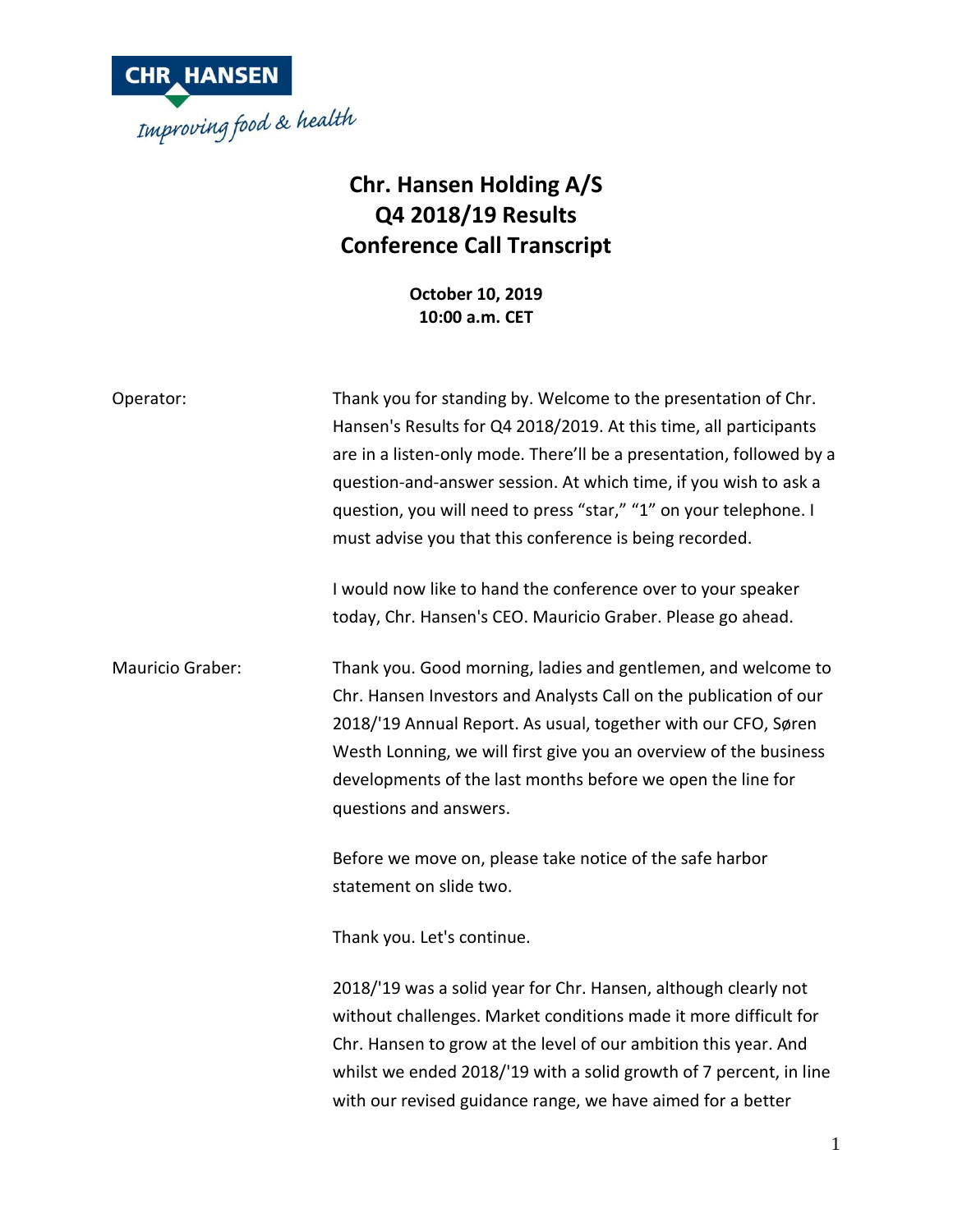

## **Chr. Hansen Holding A/S Q4 2018/19 Results Conference Call Transcript**

**October 10, 2019 10:00 a.m. CET**

| Operator:        | Thank you for standing by. Welcome to the presentation of Chr.<br>Hansen's Results for Q4 2018/2019. At this time, all participants<br>are in a listen-only mode. There'll be a presentation, followed by a<br>question-and-answer session. At which time, if you wish to ask a<br>question, you will need to press "star," "1" on your telephone. I<br>must advise you that this conference is being recorded.<br>I would now like to hand the conference over to your speaker<br>today, Chr. Hansen's CEO. Mauricio Graber. Please go ahead. |
|------------------|------------------------------------------------------------------------------------------------------------------------------------------------------------------------------------------------------------------------------------------------------------------------------------------------------------------------------------------------------------------------------------------------------------------------------------------------------------------------------------------------------------------------------------------------|
| Mauricio Graber: | Thank you. Good morning, ladies and gentlemen, and welcome to<br>Chr. Hansen Investors and Analysts Call on the publication of our<br>2018/'19 Annual Report. As usual, together with our CFO, Søren<br>Westh Lonning, we will first give you an overview of the business<br>developments of the last months before we open the line for<br>questions and answers.                                                                                                                                                                             |
|                  | Before we move on, please take notice of the safe harbor<br>statement on slide two.<br>Thank you. Let's continue.<br>2018/'19 was a solid year for Chr. Hansen, although clearly not<br>without challenges. Market conditions made it more difficult for<br>Chr. Hansen to grow at the level of our ambition this year. And<br>whilst we ended 2018/'19 with a solid growth of 7 percent, in line<br>with our revised guidance range, we have aimed for a better                                                                               |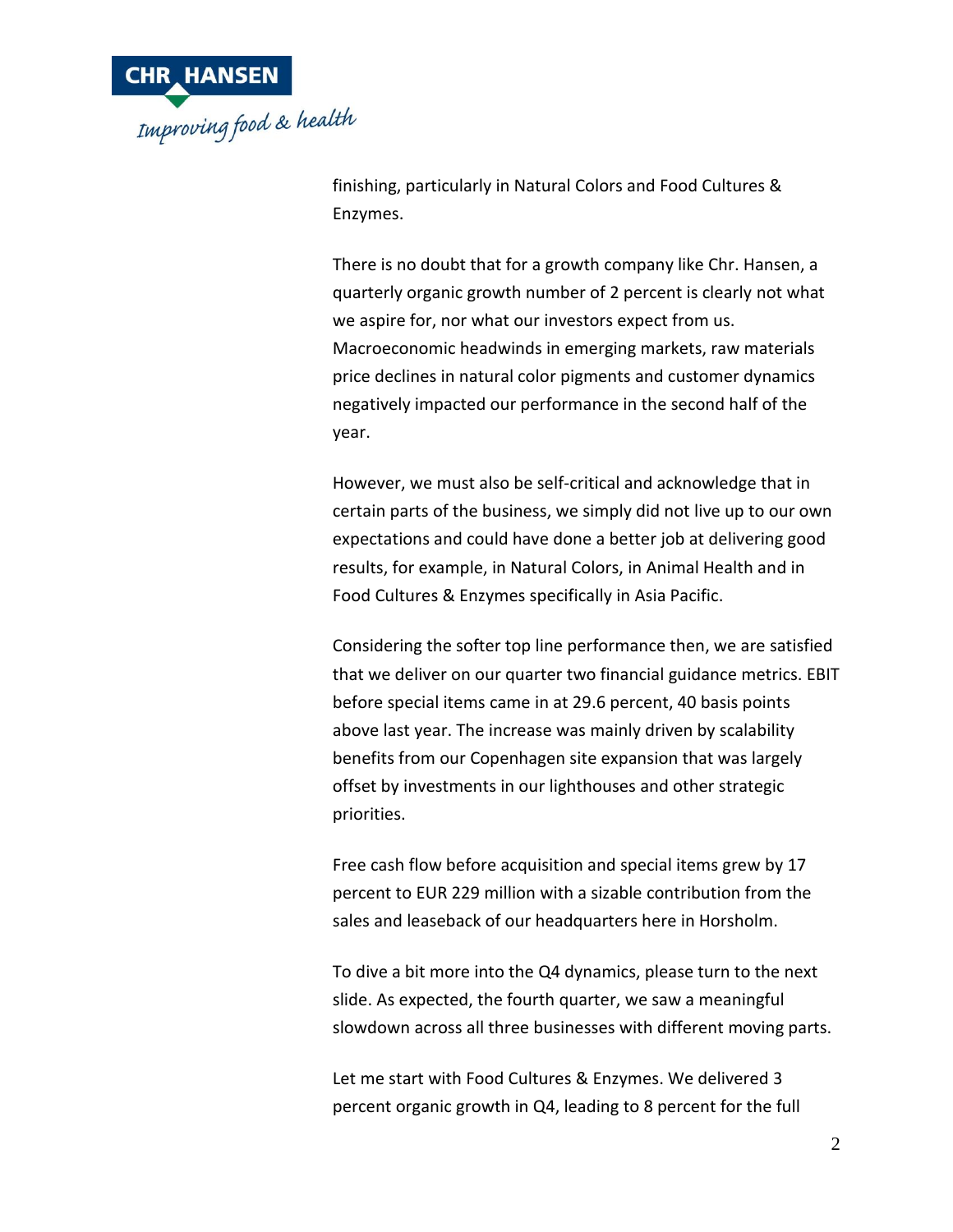

finishing, particularly in Natural Colors and Food Cultures & Enzymes.

There is no doubt that for a growth company like Chr. Hansen, a quarterly organic growth number of 2 percent is clearly not what we aspire for, nor what our investors expect from us. Macroeconomic headwinds in emerging markets, raw materials price declines in natural color pigments and customer dynamics negatively impacted our performance in the second half of the year.

However, we must also be self-critical and acknowledge that in certain parts of the business, we simply did not live up to our own expectations and could have done a better job at delivering good results, for example, in Natural Colors, in Animal Health and in Food Cultures & Enzymes specifically in Asia Pacific.

Considering the softer top line performance then, we are satisfied that we deliver on our quarter two financial guidance metrics. EBIT before special items came in at 29.6 percent, 40 basis points above last year. The increase was mainly driven by scalability benefits from our Copenhagen site expansion that was largely offset by investments in our lighthouses and other strategic priorities.

Free cash flow before acquisition and special items grew by 17 percent to EUR 229 million with a sizable contribution from the sales and leaseback of our headquarters here in Horsholm.

To dive a bit more into the Q4 dynamics, please turn to the next slide. As expected, the fourth quarter, we saw a meaningful slowdown across all three businesses with different moving parts.

Let me start with Food Cultures & Enzymes. We delivered 3 percent organic growth in Q4, leading to 8 percent for the full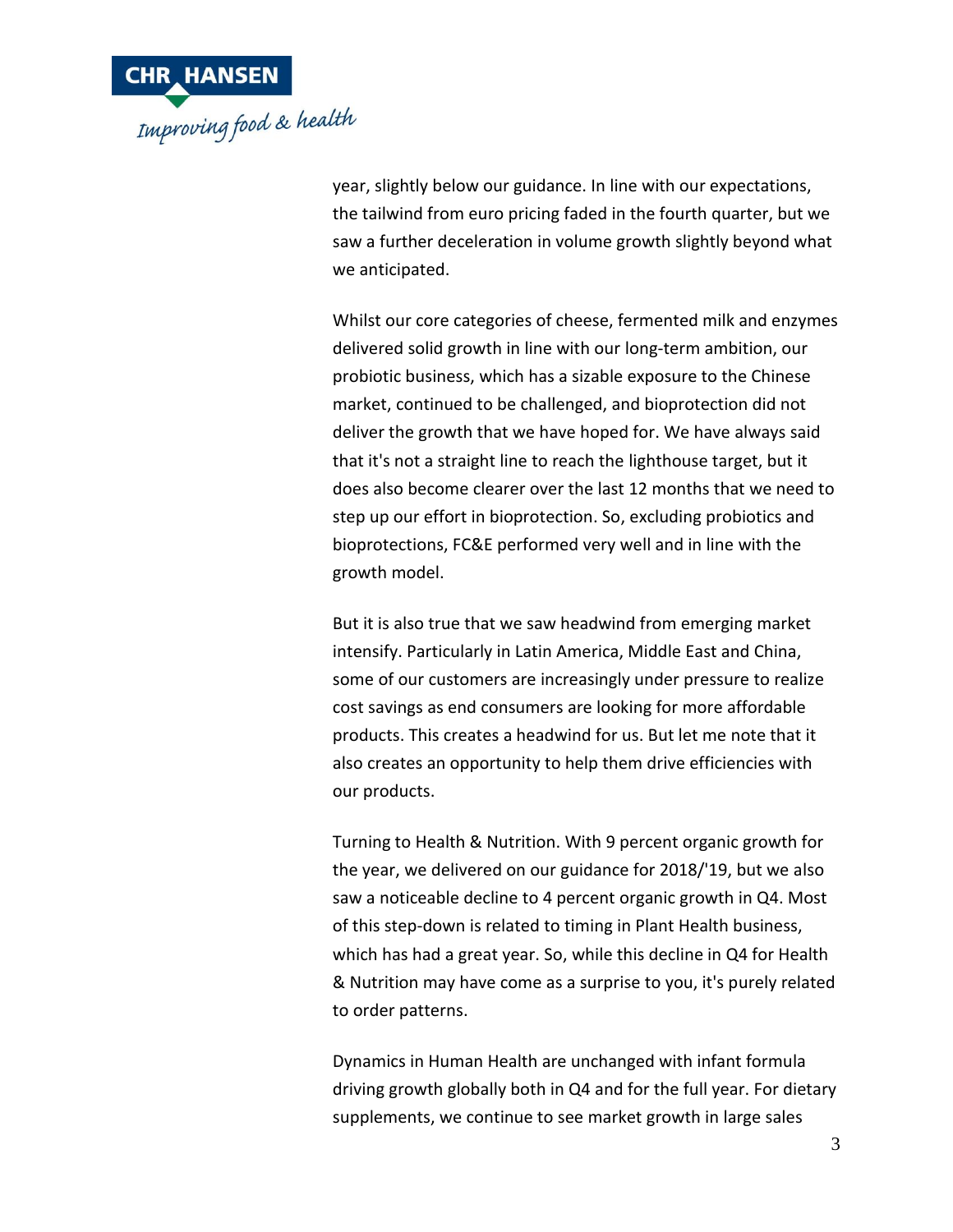

year, slightly below our guidance. In line with our expectations, the tailwind from euro pricing faded in the fourth quarter, but we saw a further deceleration in volume growth slightly beyond what we anticipated.

Whilst our core categories of cheese, fermented milk and enzymes delivered solid growth in line with our long-term ambition, our probiotic business, which has a sizable exposure to the Chinese market, continued to be challenged, and bioprotection did not deliver the growth that we have hoped for. We have always said that it's not a straight line to reach the lighthouse target, but it does also become clearer over the last 12 months that we need to step up our effort in bioprotection. So, excluding probiotics and bioprotections, FC&E performed very well and in line with the growth model.

But it is also true that we saw headwind from emerging market intensify. Particularly in Latin America, Middle East and China, some of our customers are increasingly under pressure to realize cost savings as end consumers are looking for more affordable products. This creates a headwind for us. But let me note that it also creates an opportunity to help them drive efficiencies with our products.

Turning to Health & Nutrition. With 9 percent organic growth for the year, we delivered on our guidance for 2018/'19, but we also saw a noticeable decline to 4 percent organic growth in Q4. Most of this step-down is related to timing in Plant Health business, which has had a great year. So, while this decline in Q4 for Health & Nutrition may have come as a surprise to you, it's purely related to order patterns.

Dynamics in Human Health are unchanged with infant formula driving growth globally both in Q4 and for the full year. For dietary supplements, we continue to see market growth in large sales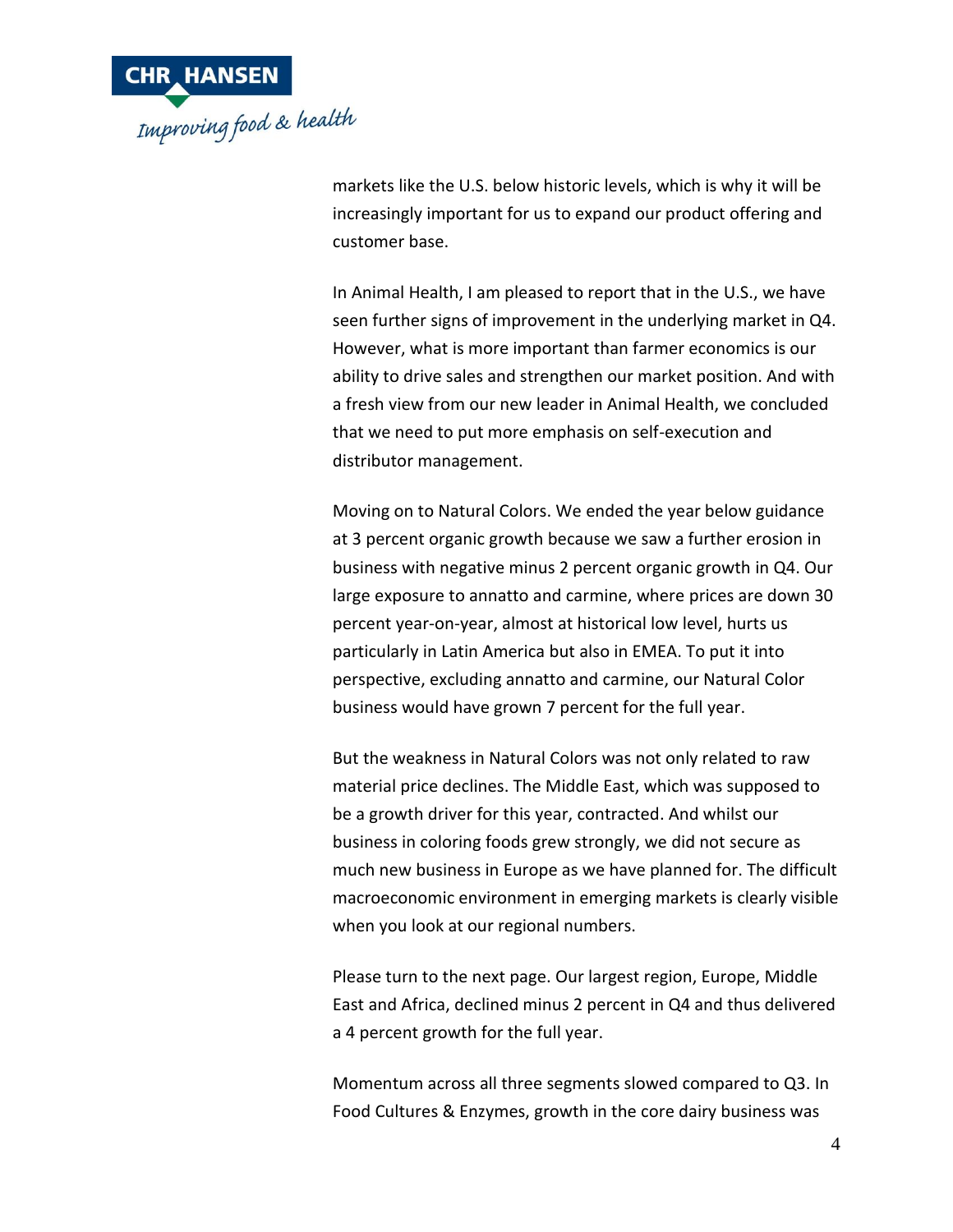

markets like the U.S. below historic levels, which is why it will be increasingly important for us to expand our product offering and customer base.

In Animal Health, I am pleased to report that in the U.S., we have seen further signs of improvement in the underlying market in Q4. However, what is more important than farmer economics is our ability to drive sales and strengthen our market position. And with a fresh view from our new leader in Animal Health, we concluded that we need to put more emphasis on self-execution and distributor management.

Moving on to Natural Colors. We ended the year below guidance at 3 percent organic growth because we saw a further erosion in business with negative minus 2 percent organic growth in Q4. Our large exposure to annatto and carmine, where prices are down 30 percent year-on-year, almost at historical low level, hurts us particularly in Latin America but also in EMEA. To put it into perspective, excluding annatto and carmine, our Natural Color business would have grown 7 percent for the full year.

But the weakness in Natural Colors was not only related to raw material price declines. The Middle East, which was supposed to be a growth driver for this year, contracted. And whilst our business in coloring foods grew strongly, we did not secure as much new business in Europe as we have planned for. The difficult macroeconomic environment in emerging markets is clearly visible when you look at our regional numbers.

Please turn to the next page. Our largest region, Europe, Middle East and Africa, declined minus 2 percent in Q4 and thus delivered a 4 percent growth for the full year.

Momentum across all three segments slowed compared to Q3. In Food Cultures & Enzymes, growth in the core dairy business was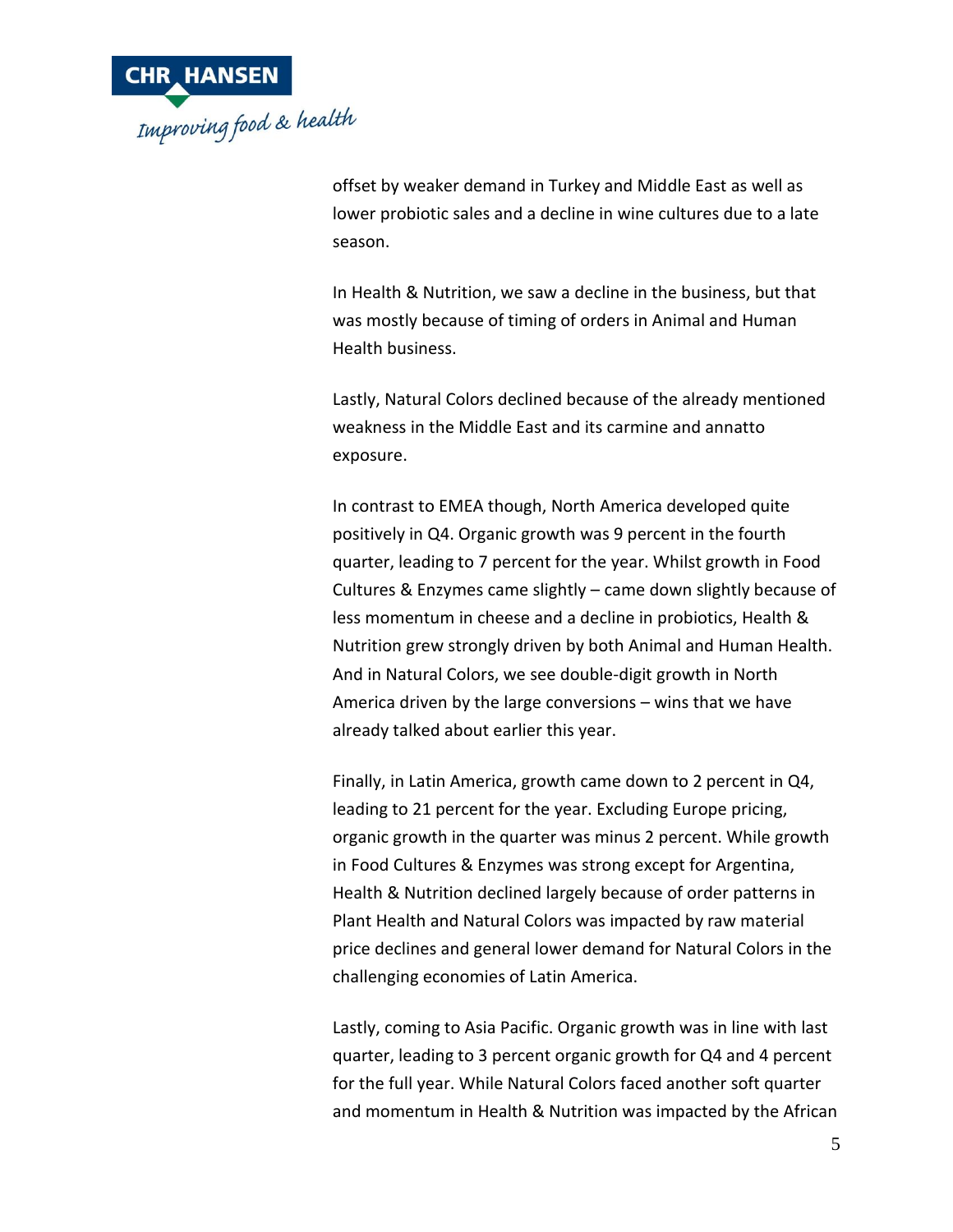

offset by weaker demand in Turkey and Middle East as well as lower probiotic sales and a decline in wine cultures due to a late season.

In Health & Nutrition, we saw a decline in the business, but that was mostly because of timing of orders in Animal and Human Health business.

Lastly, Natural Colors declined because of the already mentioned weakness in the Middle East and its carmine and annatto exposure.

In contrast to EMEA though, North America developed quite positively in Q4. Organic growth was 9 percent in the fourth quarter, leading to 7 percent for the year. Whilst growth in Food Cultures & Enzymes came slightly – came down slightly because of less momentum in cheese and a decline in probiotics, Health & Nutrition grew strongly driven by both Animal and Human Health. And in Natural Colors, we see double-digit growth in North America driven by the large conversions – wins that we have already talked about earlier this year.

Finally, in Latin America, growth came down to 2 percent in Q4, leading to 21 percent for the year. Excluding Europe pricing, organic growth in the quarter was minus 2 percent. While growth in Food Cultures & Enzymes was strong except for Argentina, Health & Nutrition declined largely because of order patterns in Plant Health and Natural Colors was impacted by raw material price declines and general lower demand for Natural Colors in the challenging economies of Latin America.

Lastly, coming to Asia Pacific. Organic growth was in line with last quarter, leading to 3 percent organic growth for Q4 and 4 percent for the full year. While Natural Colors faced another soft quarter and momentum in Health & Nutrition was impacted by the African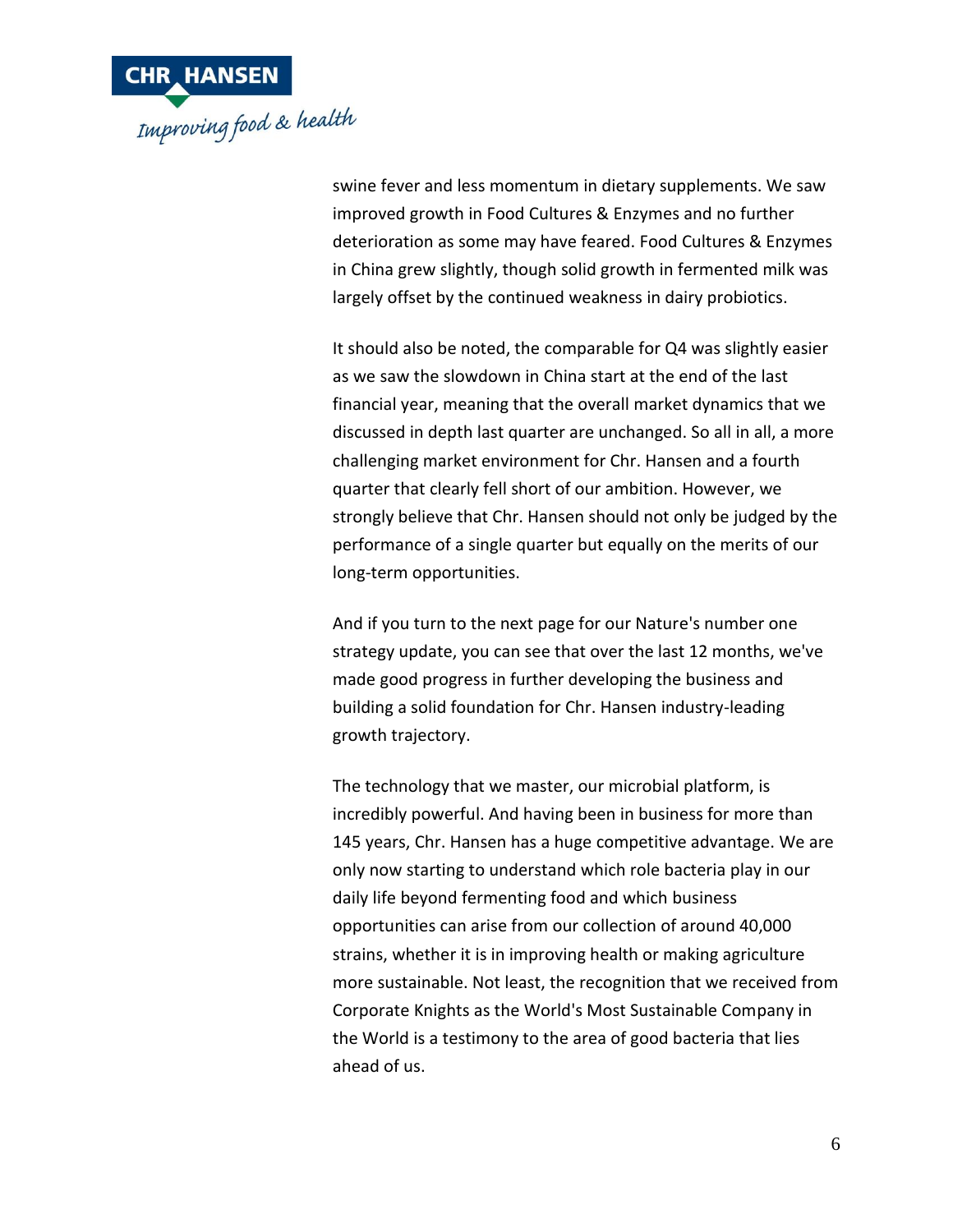

swine fever and less momentum in dietary supplements. We saw improved growth in Food Cultures & Enzymes and no further deterioration as some may have feared. Food Cultures & Enzymes in China grew slightly, though solid growth in fermented milk was largely offset by the continued weakness in dairy probiotics.

It should also be noted, the comparable for Q4 was slightly easier as we saw the slowdown in China start at the end of the last financial year, meaning that the overall market dynamics that we discussed in depth last quarter are unchanged. So all in all, a more challenging market environment for Chr. Hansen and a fourth quarter that clearly fell short of our ambition. However, we strongly believe that Chr. Hansen should not only be judged by the performance of a single quarter but equally on the merits of our long-term opportunities.

And if you turn to the next page for our Nature's number one strategy update, you can see that over the last 12 months, we've made good progress in further developing the business and building a solid foundation for Chr. Hansen industry-leading growth trajectory.

The technology that we master, our microbial platform, is incredibly powerful. And having been in business for more than 145 years, Chr. Hansen has a huge competitive advantage. We are only now starting to understand which role bacteria play in our daily life beyond fermenting food and which business opportunities can arise from our collection of around 40,000 strains, whether it is in improving health or making agriculture more sustainable. Not least, the recognition that we received from Corporate Knights as the World's Most Sustainable Company in the World is a testimony to the area of good bacteria that lies ahead of us.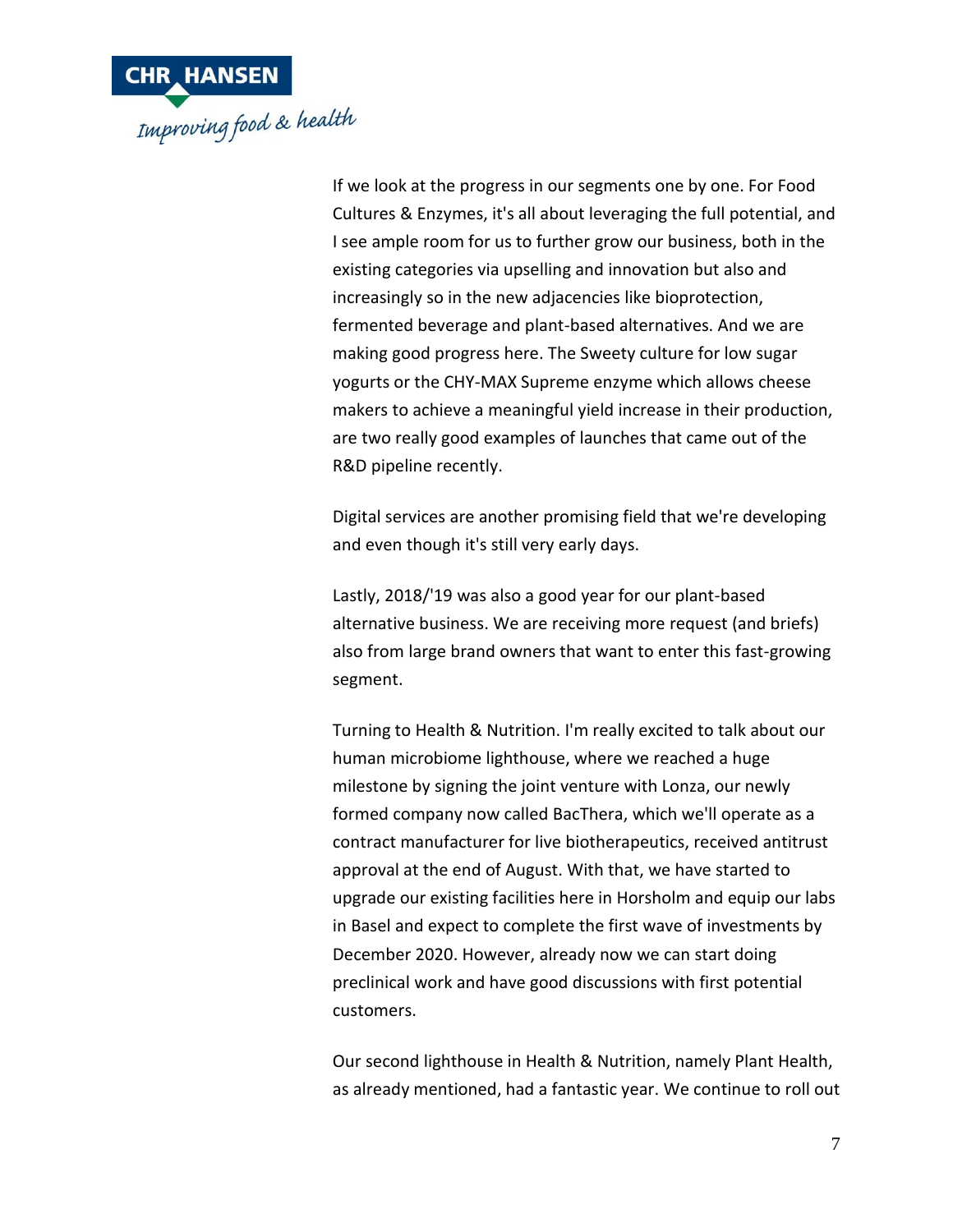

If we look at the progress in our segments one by one. For Food Cultures & Enzymes, it's all about leveraging the full potential, and I see ample room for us to further grow our business, both in the existing categories via upselling and innovation but also and increasingly so in the new adjacencies like bioprotection, fermented beverage and plant-based alternatives. And we are making good progress here. The Sweety culture for low sugar yogurts or the CHY-MAX Supreme enzyme which allows cheese makers to achieve a meaningful yield increase in their production, are two really good examples of launches that came out of the R&D pipeline recently.

Digital services are another promising field that we're developing and even though it's still very early days.

Lastly, 2018/'19 was also a good year for our plant-based alternative business. We are receiving more request (and briefs) also from large brand owners that want to enter this fast-growing segment.

Turning to Health & Nutrition. I'm really excited to talk about our human microbiome lighthouse, where we reached a huge milestone by signing the joint venture with Lonza, our newly formed company now called BacThera, which we'll operate as a contract manufacturer for live biotherapeutics, received antitrust approval at the end of August. With that, we have started to upgrade our existing facilities here in Horsholm and equip our labs in Basel and expect to complete the first wave of investments by December 2020. However, already now we can start doing preclinical work and have good discussions with first potential customers.

Our second lighthouse in Health & Nutrition, namely Plant Health, as already mentioned, had a fantastic year. We continue to roll out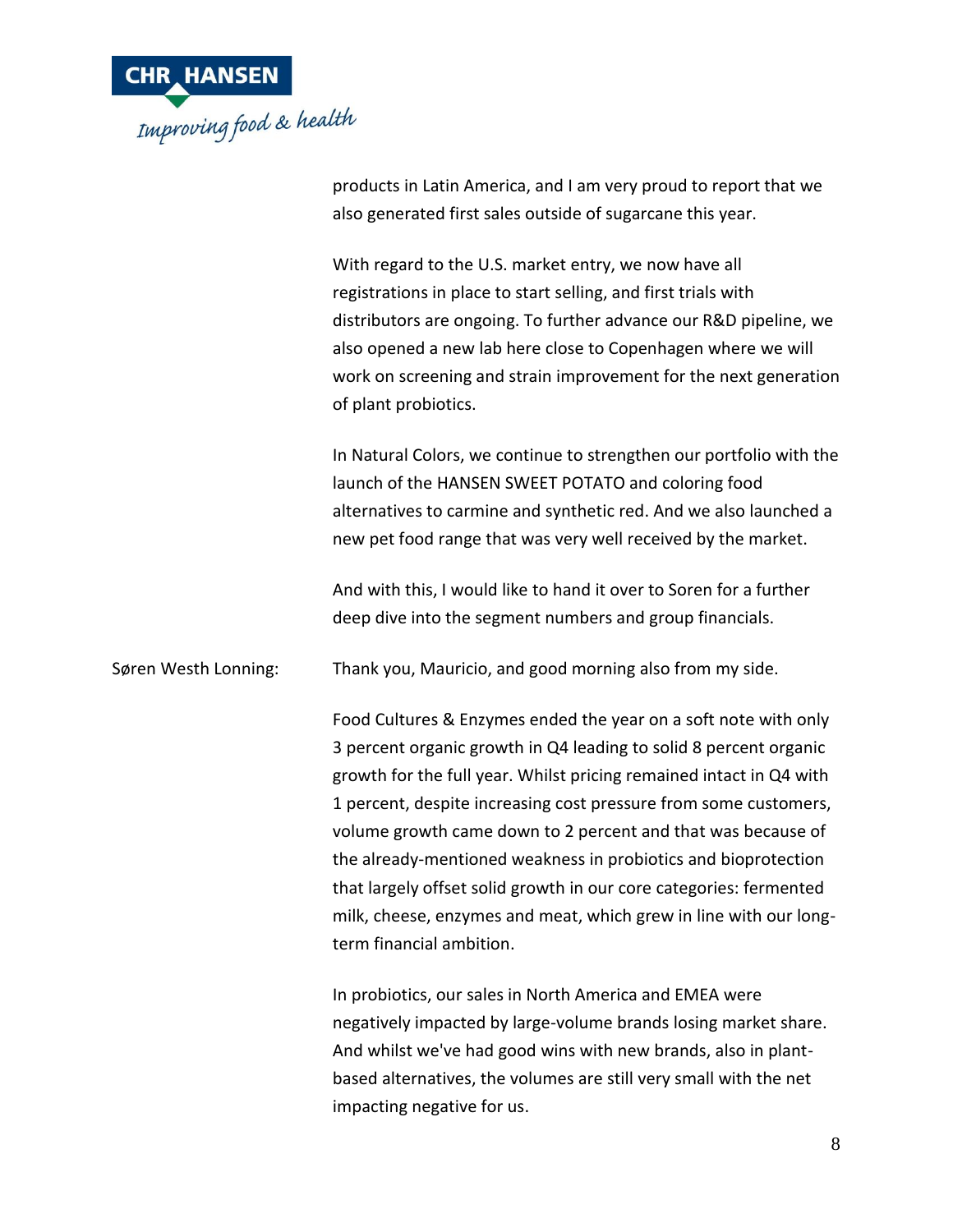

products in Latin America, and I am very proud to report that we also generated first sales outside of sugarcane this year.

With regard to the U.S. market entry, we now have all registrations in place to start selling, and first trials with distributors are ongoing. To further advance our R&D pipeline, we also opened a new lab here close to Copenhagen where we will work on screening and strain improvement for the next generation of plant probiotics.

In Natural Colors, we continue to strengthen our portfolio with the launch of the HANSEN SWEET POTATO and coloring food alternatives to carmine and synthetic red. And we also launched a new pet food range that was very well received by the market.

And with this, I would like to hand it over to Soren for a further deep dive into the segment numbers and group financials.

Søren Westh Lonning: Thank you, Mauricio, and good morning also from my side.

Food Cultures & Enzymes ended the year on a soft note with only 3 percent organic growth in Q4 leading to solid 8 percent organic growth for the full year. Whilst pricing remained intact in Q4 with 1 percent, despite increasing cost pressure from some customers, volume growth came down to 2 percent and that was because of the already-mentioned weakness in probiotics and bioprotection that largely offset solid growth in our core categories: fermented milk, cheese, enzymes and meat, which grew in line with our longterm financial ambition.

In probiotics, our sales in North America and EMEA were negatively impacted by large-volume brands losing market share. And whilst we've had good wins with new brands, also in plantbased alternatives, the volumes are still very small with the net impacting negative for us.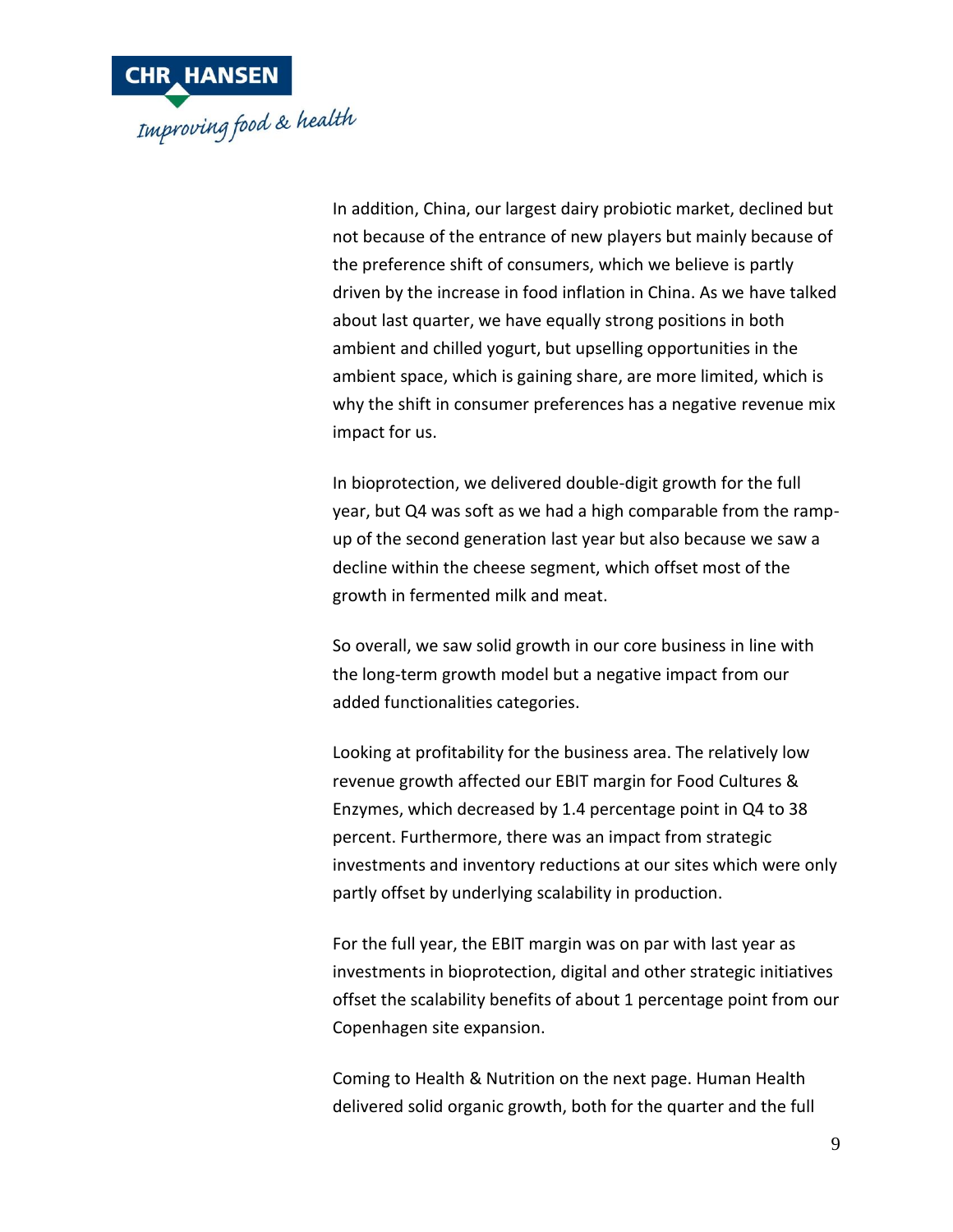

In addition, China, our largest dairy probiotic market, declined but not because of the entrance of new players but mainly because of the preference shift of consumers, which we believe is partly driven by the increase in food inflation in China. As we have talked about last quarter, we have equally strong positions in both ambient and chilled yogurt, but upselling opportunities in the ambient space, which is gaining share, are more limited, which is why the shift in consumer preferences has a negative revenue mix impact for us.

In bioprotection, we delivered double-digit growth for the full year, but Q4 was soft as we had a high comparable from the rampup of the second generation last year but also because we saw a decline within the cheese segment, which offset most of the growth in fermented milk and meat.

So overall, we saw solid growth in our core business in line with the long-term growth model but a negative impact from our added functionalities categories.

Looking at profitability for the business area. The relatively low revenue growth affected our EBIT margin for Food Cultures & Enzymes, which decreased by 1.4 percentage point in Q4 to 38 percent. Furthermore, there was an impact from strategic investments and inventory reductions at our sites which were only partly offset by underlying scalability in production.

For the full year, the EBIT margin was on par with last year as investments in bioprotection, digital and other strategic initiatives offset the scalability benefits of about 1 percentage point from our Copenhagen site expansion.

Coming to Health & Nutrition on the next page. Human Health delivered solid organic growth, both for the quarter and the full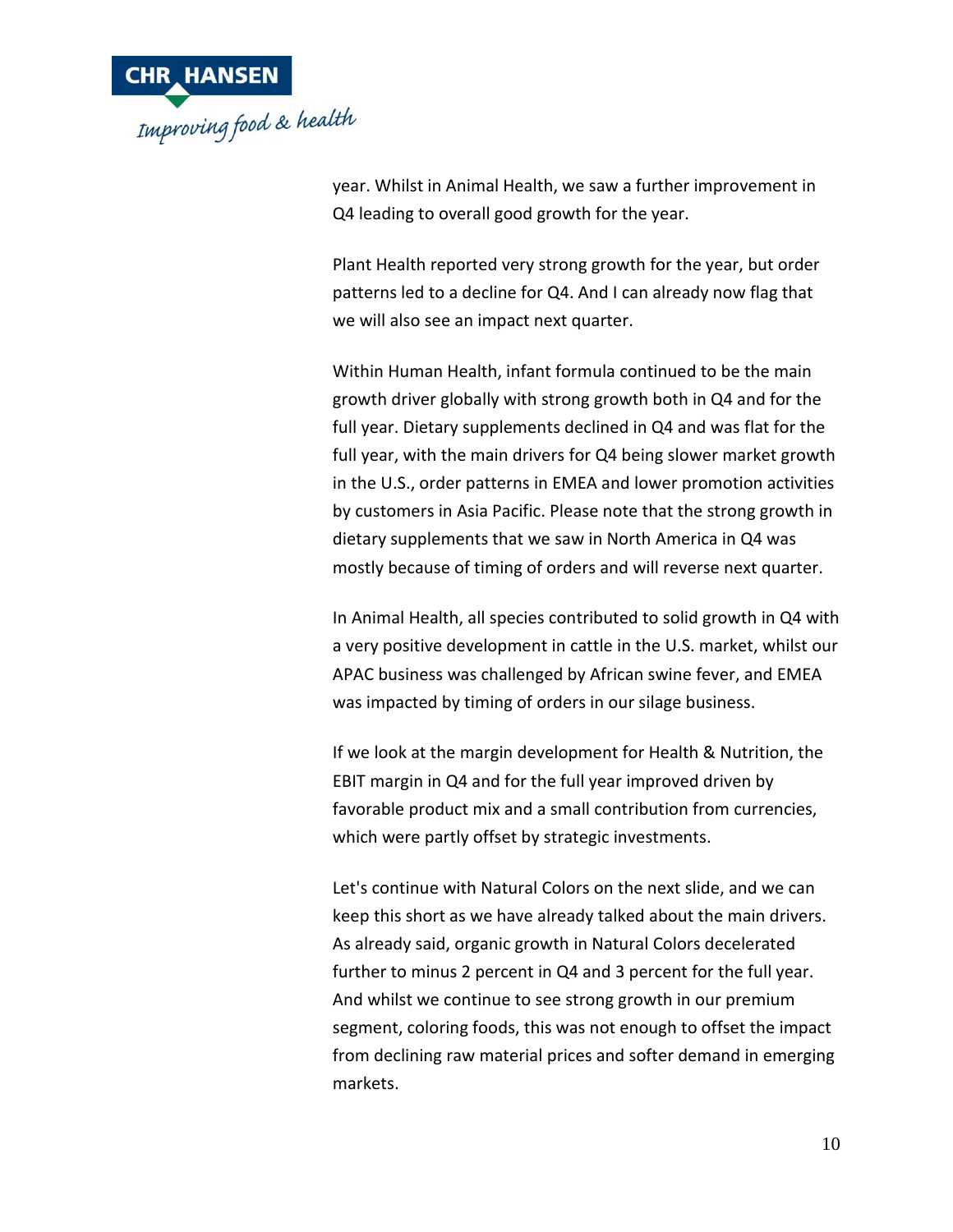

year. Whilst in Animal Health, we saw a further improvement in Q4 leading to overall good growth for the year.

Plant Health reported very strong growth for the year, but order patterns led to a decline for Q4. And I can already now flag that we will also see an impact next quarter.

Within Human Health, infant formula continued to be the main growth driver globally with strong growth both in Q4 and for the full year. Dietary supplements declined in Q4 and was flat for the full year, with the main drivers for Q4 being slower market growth in the U.S., order patterns in EMEA and lower promotion activities by customers in Asia Pacific. Please note that the strong growth in dietary supplements that we saw in North America in Q4 was mostly because of timing of orders and will reverse next quarter.

In Animal Health, all species contributed to solid growth in Q4 with a very positive development in cattle in the U.S. market, whilst our APAC business was challenged by African swine fever, and EMEA was impacted by timing of orders in our silage business.

If we look at the margin development for Health & Nutrition, the EBIT margin in Q4 and for the full year improved driven by favorable product mix and a small contribution from currencies, which were partly offset by strategic investments.

Let's continue with Natural Colors on the next slide, and we can keep this short as we have already talked about the main drivers. As already said, organic growth in Natural Colors decelerated further to minus 2 percent in Q4 and 3 percent for the full year. And whilst we continue to see strong growth in our premium segment, coloring foods, this was not enough to offset the impact from declining raw material prices and softer demand in emerging markets.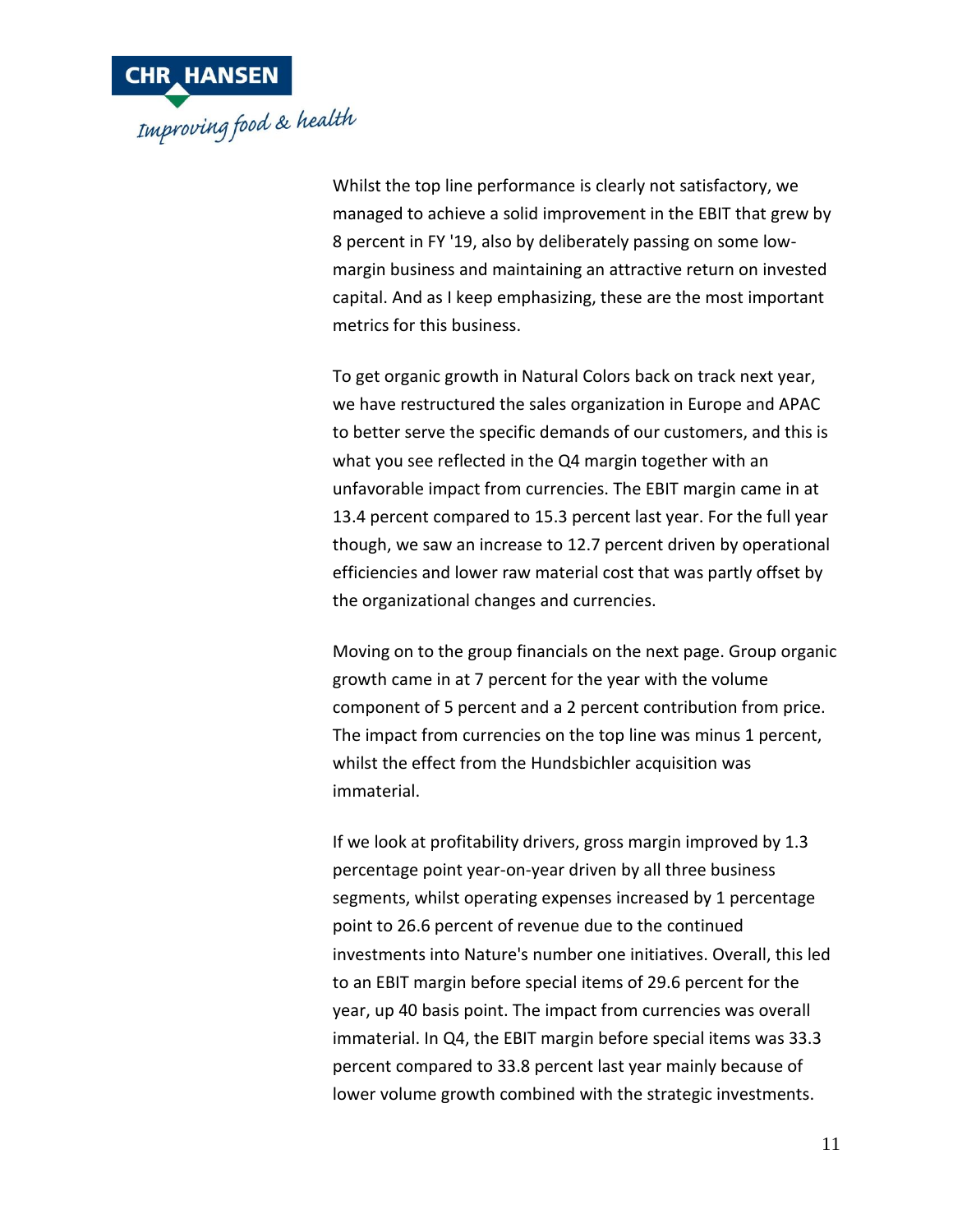

Whilst the top line performance is clearly not satisfactory, we managed to achieve a solid improvement in the EBIT that grew by 8 percent in FY '19, also by deliberately passing on some lowmargin business and maintaining an attractive return on invested capital. And as I keep emphasizing, these are the most important metrics for this business.

To get organic growth in Natural Colors back on track next year, we have restructured the sales organization in Europe and APAC to better serve the specific demands of our customers, and this is what you see reflected in the Q4 margin together with an unfavorable impact from currencies. The EBIT margin came in at 13.4 percent compared to 15.3 percent last year. For the full year though, we saw an increase to 12.7 percent driven by operational efficiencies and lower raw material cost that was partly offset by the organizational changes and currencies.

Moving on to the group financials on the next page. Group organic growth came in at 7 percent for the year with the volume component of 5 percent and a 2 percent contribution from price. The impact from currencies on the top line was minus 1 percent, whilst the effect from the Hundsbichler acquisition was immaterial.

If we look at profitability drivers, gross margin improved by 1.3 percentage point year-on-year driven by all three business segments, whilst operating expenses increased by 1 percentage point to 26.6 percent of revenue due to the continued investments into Nature's number one initiatives. Overall, this led to an EBIT margin before special items of 29.6 percent for the year, up 40 basis point. The impact from currencies was overall immaterial. In Q4, the EBIT margin before special items was 33.3 percent compared to 33.8 percent last year mainly because of lower volume growth combined with the strategic investments.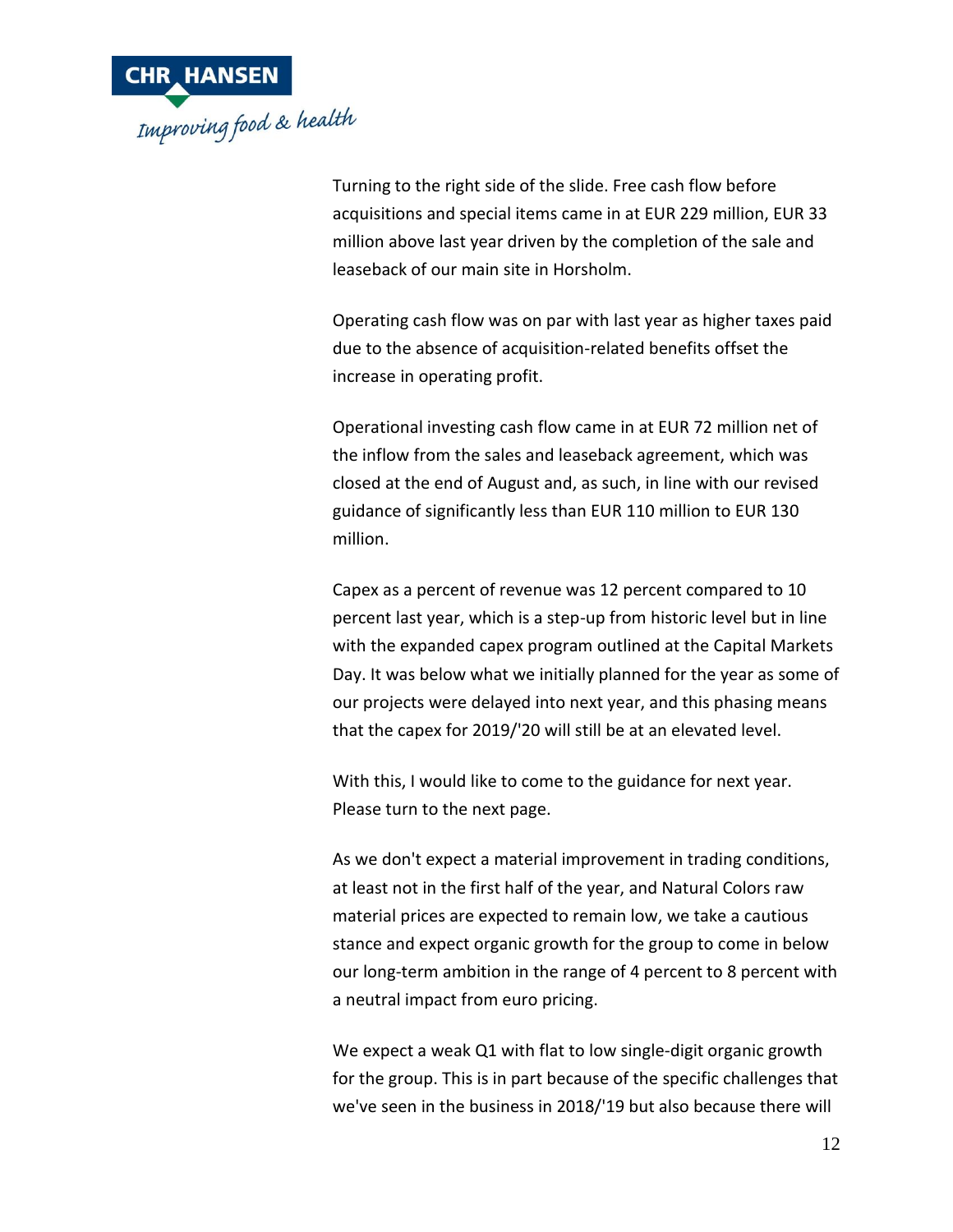

Turning to the right side of the slide. Free cash flow before acquisitions and special items came in at EUR 229 million, EUR 33 million above last year driven by the completion of the sale and leaseback of our main site in Horsholm.

Operating cash flow was on par with last year as higher taxes paid due to the absence of acquisition-related benefits offset the increase in operating profit.

Operational investing cash flow came in at EUR 72 million net of the inflow from the sales and leaseback agreement, which was closed at the end of August and, as such, in line with our revised guidance of significantly less than EUR 110 million to EUR 130 million.

Capex as a percent of revenue was 12 percent compared to 10 percent last year, which is a step-up from historic level but in line with the expanded capex program outlined at the Capital Markets Day. It was below what we initially planned for the year as some of our projects were delayed into next year, and this phasing means that the capex for 2019/'20 will still be at an elevated level.

With this, I would like to come to the guidance for next year. Please turn to the next page.

As we don't expect a material improvement in trading conditions, at least not in the first half of the year, and Natural Colors raw material prices are expected to remain low, we take a cautious stance and expect organic growth for the group to come in below our long-term ambition in the range of 4 percent to 8 percent with a neutral impact from euro pricing.

We expect a weak Q1 with flat to low single-digit organic growth for the group. This is in part because of the specific challenges that we've seen in the business in 2018/'19 but also because there will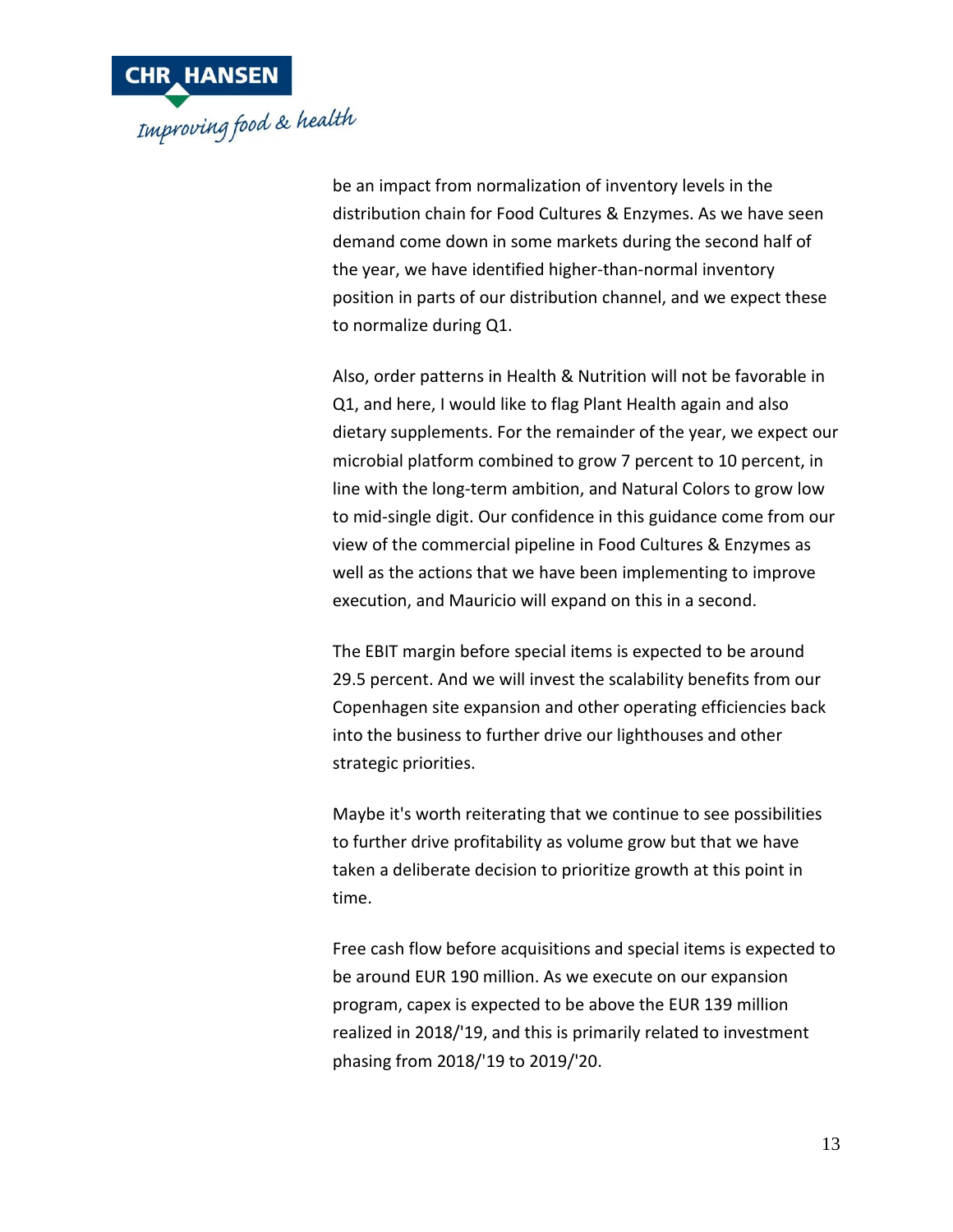

be an impact from normalization of inventory levels in the distribution chain for Food Cultures & Enzymes. As we have seen demand come down in some markets during the second half of the year, we have identified higher-than-normal inventory position in parts of our distribution channel, and we expect these to normalize during Q1.

Also, order patterns in Health & Nutrition will not be favorable in Q1, and here, I would like to flag Plant Health again and also dietary supplements. For the remainder of the year, we expect our microbial platform combined to grow 7 percent to 10 percent, in line with the long-term ambition, and Natural Colors to grow low to mid-single digit. Our confidence in this guidance come from our view of the commercial pipeline in Food Cultures & Enzymes as well as the actions that we have been implementing to improve execution, and Mauricio will expand on this in a second.

The EBIT margin before special items is expected to be around 29.5 percent. And we will invest the scalability benefits from our Copenhagen site expansion and other operating efficiencies back into the business to further drive our lighthouses and other strategic priorities.

Maybe it's worth reiterating that we continue to see possibilities to further drive profitability as volume grow but that we have taken a deliberate decision to prioritize growth at this point in time.

Free cash flow before acquisitions and special items is expected to be around EUR 190 million. As we execute on our expansion program, capex is expected to be above the EUR 139 million realized in 2018/'19, and this is primarily related to investment phasing from 2018/'19 to 2019/'20.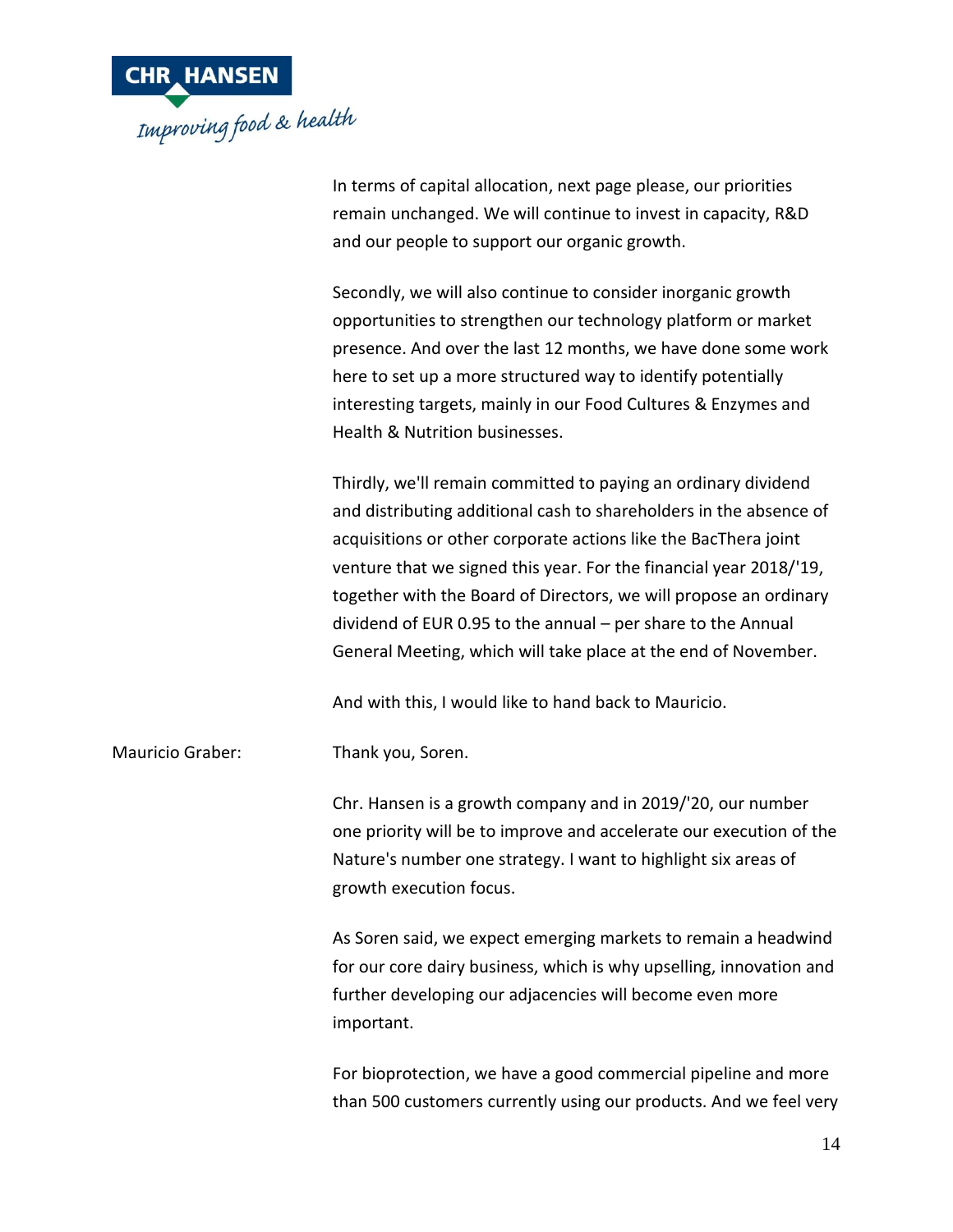

In terms of capital allocation, next page please, our priorities remain unchanged. We will continue to invest in capacity, R&D and our people to support our organic growth.

Secondly, we will also continue to consider inorganic growth opportunities to strengthen our technology platform or market presence. And over the last 12 months, we have done some work here to set up a more structured way to identify potentially interesting targets, mainly in our Food Cultures & Enzymes and Health & Nutrition businesses.

Thirdly, we'll remain committed to paying an ordinary dividend and distributing additional cash to shareholders in the absence of acquisitions or other corporate actions like the BacThera joint venture that we signed this year. For the financial year 2018/'19, together with the Board of Directors, we will propose an ordinary dividend of EUR 0.95 to the annual – per share to the Annual General Meeting, which will take place at the end of November.

And with this, I would like to hand back to Mauricio.

Mauricio Graber: Thank you, Soren.

Chr. Hansen is a growth company and in 2019/'20, our number one priority will be to improve and accelerate our execution of the Nature's number one strategy. I want to highlight six areas of growth execution focus.

As Soren said, we expect emerging markets to remain a headwind for our core dairy business, which is why upselling, innovation and further developing our adjacencies will become even more important.

For bioprotection, we have a good commercial pipeline and more than 500 customers currently using our products. And we feel very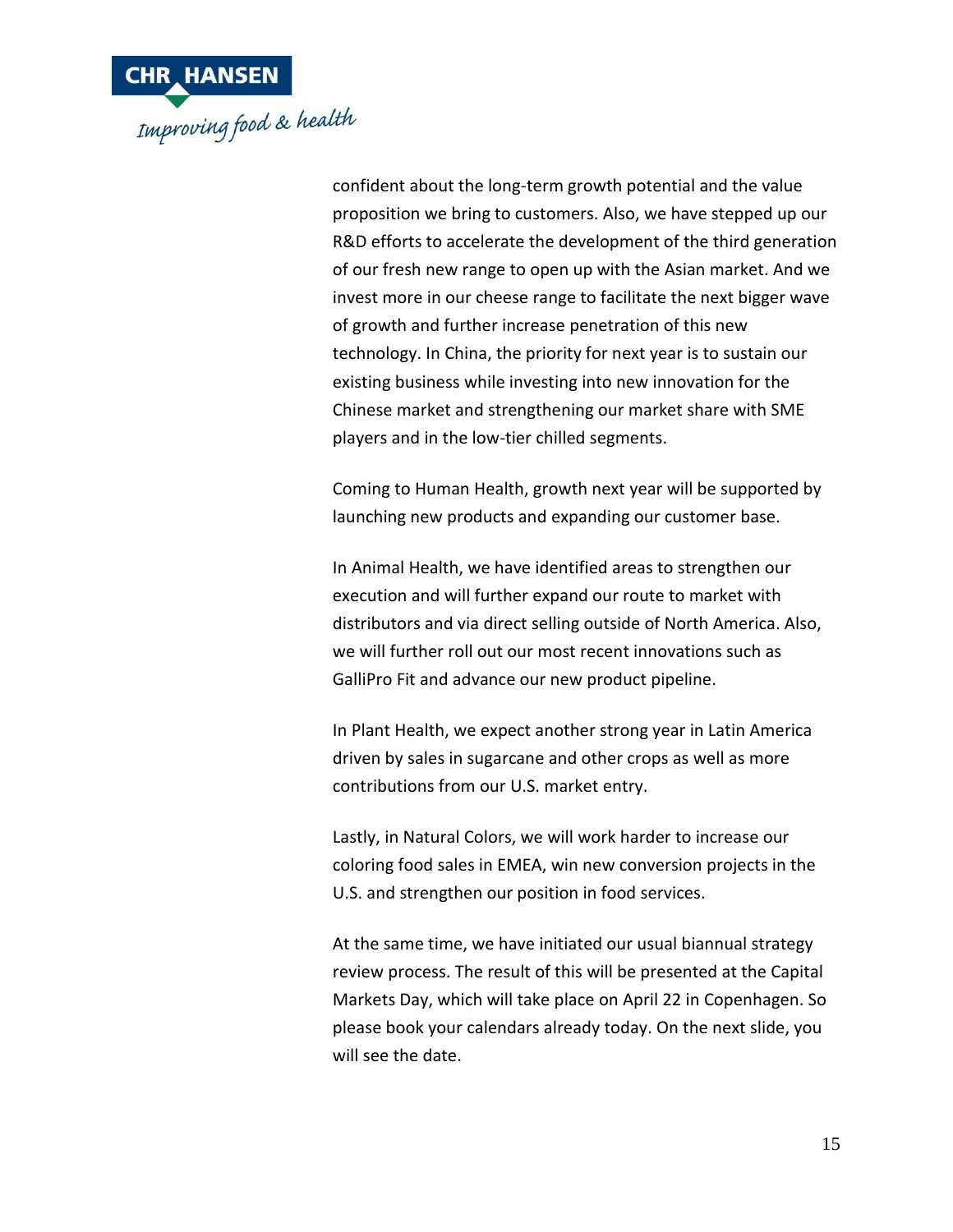

confident about the long-term growth potential and the value proposition we bring to customers. Also, we have stepped up our R&D efforts to accelerate the development of the third generation of our fresh new range to open up with the Asian market. And we invest more in our cheese range to facilitate the next bigger wave of growth and further increase penetration of this new technology. In China, the priority for next year is to sustain our existing business while investing into new innovation for the Chinese market and strengthening our market share with SME players and in the low-tier chilled segments.

Coming to Human Health, growth next year will be supported by launching new products and expanding our customer base.

In Animal Health, we have identified areas to strengthen our execution and will further expand our route to market with distributors and via direct selling outside of North America. Also, we will further roll out our most recent innovations such as GalliPro Fit and advance our new product pipeline.

In Plant Health, we expect another strong year in Latin America driven by sales in sugarcane and other crops as well as more contributions from our U.S. market entry.

Lastly, in Natural Colors, we will work harder to increase our coloring food sales in EMEA, win new conversion projects in the U.S. and strengthen our position in food services.

At the same time, we have initiated our usual biannual strategy review process. The result of this will be presented at the Capital Markets Day, which will take place on April 22 in Copenhagen. So please book your calendars already today. On the next slide, you will see the date.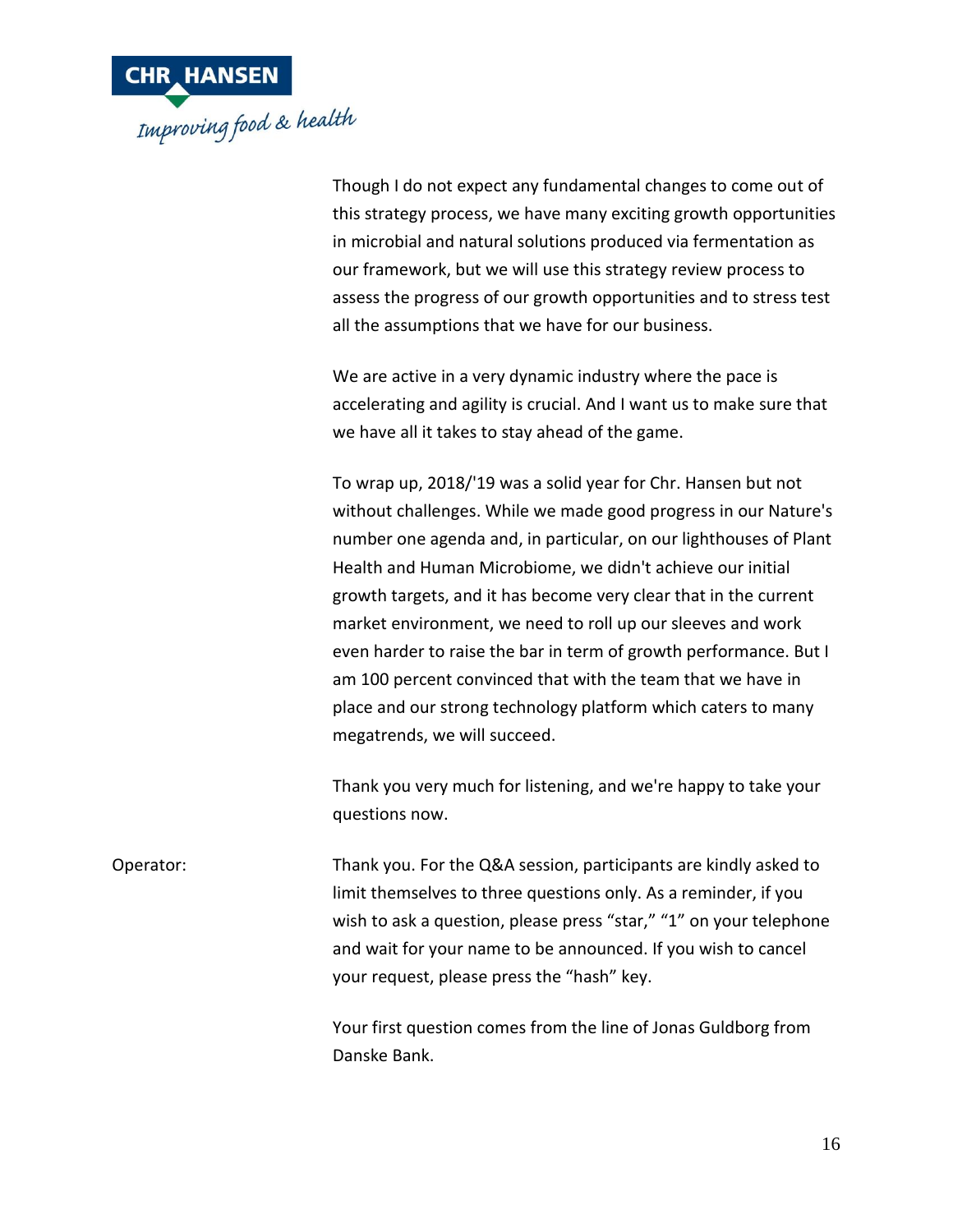

Though I do not expect any fundamental changes to come out of this strategy process, we have many exciting growth opportunities in microbial and natural solutions produced via fermentation as our framework, but we will use this strategy review process to assess the progress of our growth opportunities and to stress test all the assumptions that we have for our business.

We are active in a very dynamic industry where the pace is accelerating and agility is crucial. And I want us to make sure that we have all it takes to stay ahead of the game.

To wrap up, 2018/'19 was a solid year for Chr. Hansen but not without challenges. While we made good progress in our Nature's number one agenda and, in particular, on our lighthouses of Plant Health and Human Microbiome, we didn't achieve our initial growth targets, and it has become very clear that in the current market environment, we need to roll up our sleeves and work even harder to raise the bar in term of growth performance. But I am 100 percent convinced that with the team that we have in place and our strong technology platform which caters to many megatrends, we will succeed.

Thank you very much for listening, and we're happy to take your questions now.

Operator: Thank you. For the Q&A session, participants are kindly asked to limit themselves to three questions only. As a reminder, if you wish to ask a question, please press "star," "1" on your telephone and wait for your name to be announced. If you wish to cancel your request, please press the "hash" key.

> Your first question comes from the line of Jonas Guldborg from Danske Bank.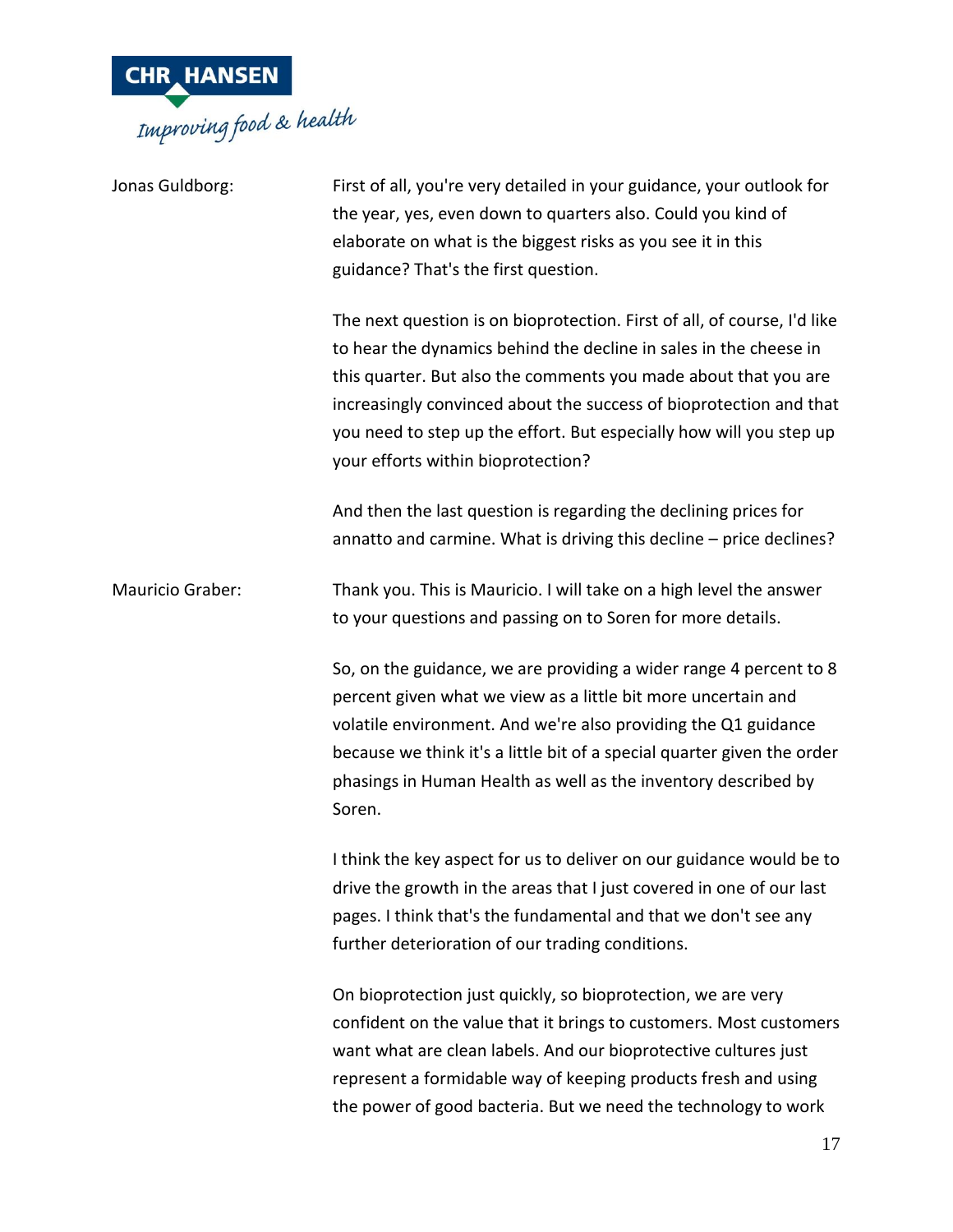

| Jonas Guldborg:  | First of all, you're very detailed in your guidance, your outlook for<br>the year, yes, even down to quarters also. Could you kind of<br>elaborate on what is the biggest risks as you see it in this<br>guidance? That's the first question.                                                                                                                                                       |
|------------------|-----------------------------------------------------------------------------------------------------------------------------------------------------------------------------------------------------------------------------------------------------------------------------------------------------------------------------------------------------------------------------------------------------|
|                  | The next question is on bioprotection. First of all, of course, I'd like<br>to hear the dynamics behind the decline in sales in the cheese in<br>this quarter. But also the comments you made about that you are<br>increasingly convinced about the success of bioprotection and that<br>you need to step up the effort. But especially how will you step up<br>your efforts within bioprotection? |
|                  | And then the last question is regarding the declining prices for<br>annatto and carmine. What is driving this decline - price declines?                                                                                                                                                                                                                                                             |
| Mauricio Graber: | Thank you. This is Mauricio. I will take on a high level the answer<br>to your questions and passing on to Soren for more details.                                                                                                                                                                                                                                                                  |
|                  | So, on the guidance, we are providing a wider range 4 percent to 8<br>percent given what we view as a little bit more uncertain and<br>volatile environment. And we're also providing the Q1 guidance<br>because we think it's a little bit of a special quarter given the order<br>phasings in Human Health as well as the inventory described by<br>Soren.                                        |
|                  | I think the key aspect for us to deliver on our guidance would be to<br>drive the growth in the areas that I just covered in one of our last<br>pages. I think that's the fundamental and that we don't see any<br>further deterioration of our trading conditions.                                                                                                                                 |
|                  | On bioprotection just quickly, so bioprotection, we are very<br>confident on the value that it brings to customers. Most customers<br>want what are clean labels. And our bioprotective cultures just<br>represent a formidable way of keeping products fresh and using<br>the power of good bacteria. But we need the technology to work                                                           |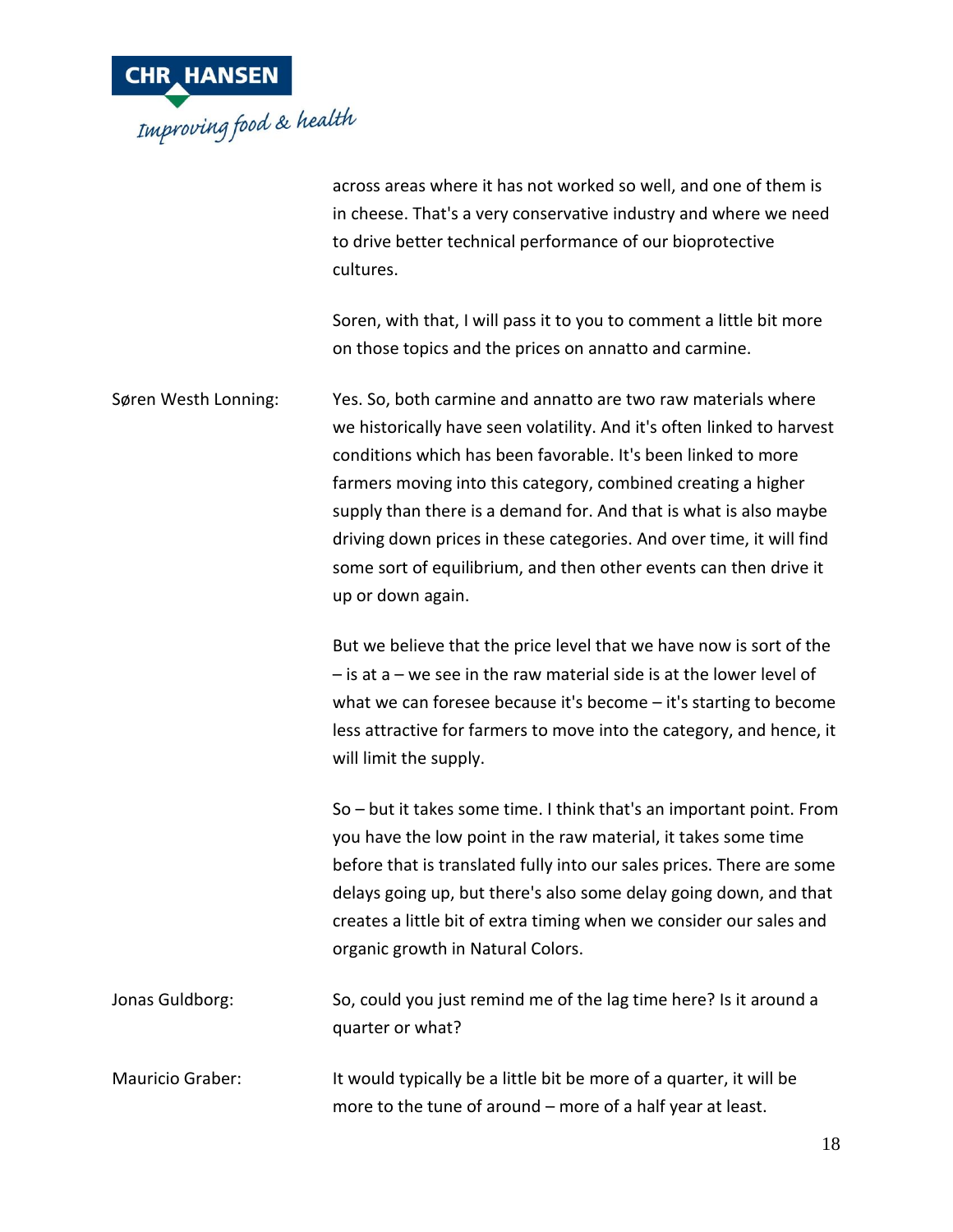

across areas where it has not worked so well, and one of them is in cheese. That's a very conservative industry and where we need to drive better technical performance of our bioprotective cultures.

Soren, with that, I will pass it to you to comment a little bit more on those topics and the prices on annatto and carmine.

Søren Westh Lonning: Yes. So, both carmine and annatto are two raw materials where we historically have seen volatility. And it's often linked to harvest conditions which has been favorable. It's been linked to more farmers moving into this category, combined creating a higher supply than there is a demand for. And that is what is also maybe driving down prices in these categories. And over time, it will find some sort of equilibrium, and then other events can then drive it up or down again.

> But we believe that the price level that we have now is sort of the  $-$  is at a – we see in the raw material side is at the lower level of what we can foresee because it's become – it's starting to become less attractive for farmers to move into the category, and hence, it will limit the supply.

So – but it takes some time. I think that's an important point. From you have the low point in the raw material, it takes some time before that is translated fully into our sales prices. There are some delays going up, but there's also some delay going down, and that creates a little bit of extra timing when we consider our sales and organic growth in Natural Colors.

Jonas Guldborg: So, could you just remind me of the lag time here? Is it around a quarter or what?

Mauricio Graber: It would typically be a little bit be more of a quarter, it will be more to the tune of around – more of a half year at least.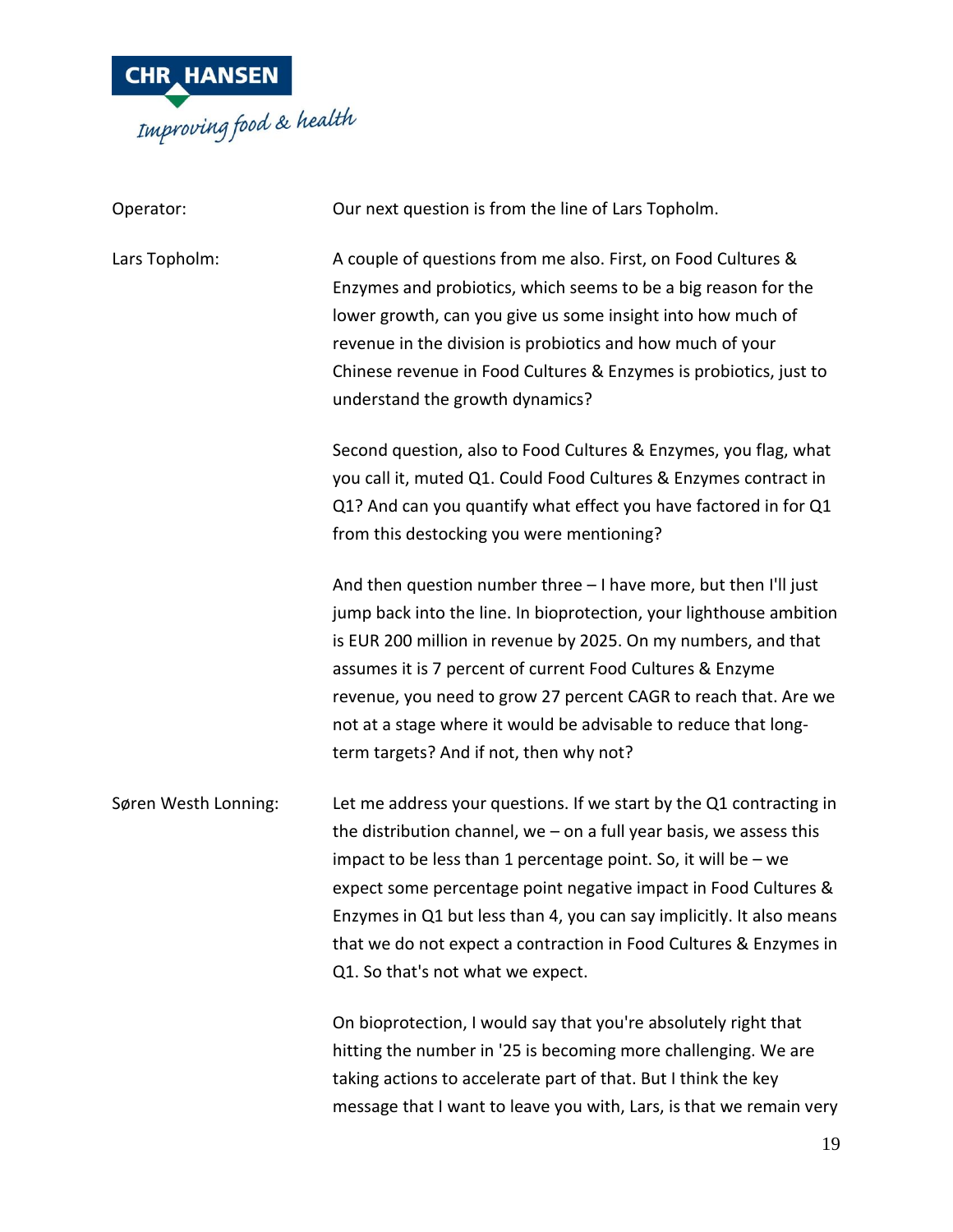

| Operator:            | Our next question is from the line of Lars Topholm.                                                                                                                                                                                                                                                                                                                                                                                                                   |
|----------------------|-----------------------------------------------------------------------------------------------------------------------------------------------------------------------------------------------------------------------------------------------------------------------------------------------------------------------------------------------------------------------------------------------------------------------------------------------------------------------|
| Lars Topholm:        | A couple of questions from me also. First, on Food Cultures &<br>Enzymes and probiotics, which seems to be a big reason for the<br>lower growth, can you give us some insight into how much of<br>revenue in the division is probiotics and how much of your<br>Chinese revenue in Food Cultures & Enzymes is probiotics, just to<br>understand the growth dynamics?                                                                                                  |
|                      | Second question, also to Food Cultures & Enzymes, you flag, what<br>you call it, muted Q1. Could Food Cultures & Enzymes contract in<br>Q1? And can you quantify what effect you have factored in for Q1<br>from this destocking you were mentioning?                                                                                                                                                                                                                 |
|                      | And then question number three - I have more, but then I'll just<br>jump back into the line. In bioprotection, your lighthouse ambition<br>is EUR 200 million in revenue by 2025. On my numbers, and that<br>assumes it is 7 percent of current Food Cultures & Enzyme<br>revenue, you need to grow 27 percent CAGR to reach that. Are we<br>not at a stage where it would be advisable to reduce that long-<br>term targets? And if not, then why not?               |
| Søren Westh Lonning: | Let me address your questions. If we start by the Q1 contracting in<br>the distribution channel, we $-$ on a full year basis, we assess this<br>impact to be less than 1 percentage point. So, it will be $-$ we<br>expect some percentage point negative impact in Food Cultures &<br>Enzymes in Q1 but less than 4, you can say implicitly. It also means<br>that we do not expect a contraction in Food Cultures & Enzymes in<br>Q1. So that's not what we expect. |
|                      | On bioprotection, I would say that you're absolutely right that<br>hitting the number in '25 is becoming more challenging. We are<br>taking actions to accelerate part of that. But I think the key<br>message that I want to leave you with, Lars, is that we remain very                                                                                                                                                                                            |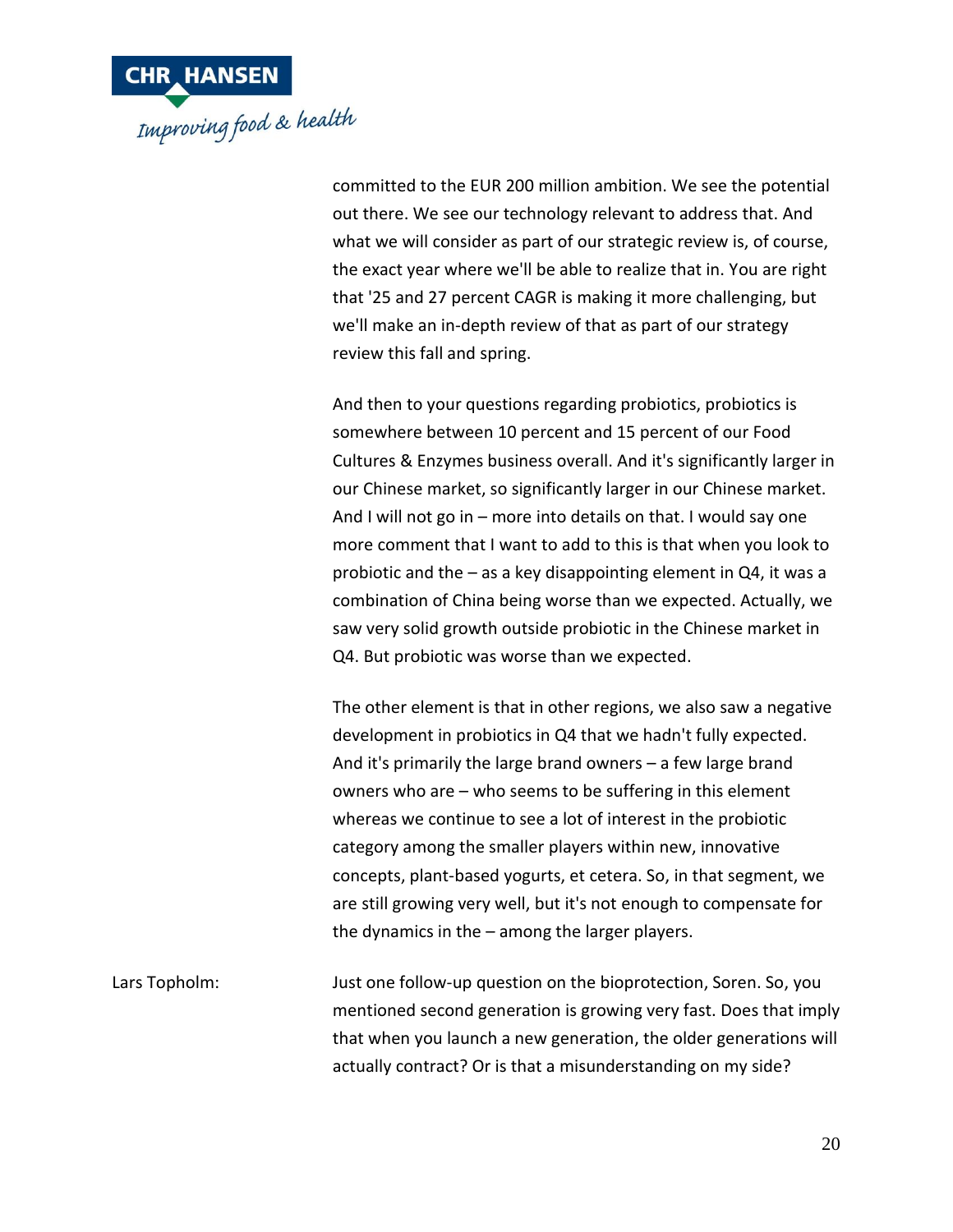

committed to the EUR 200 million ambition. We see the potential out there. We see our technology relevant to address that. And what we will consider as part of our strategic review is, of course, the exact year where we'll be able to realize that in. You are right that '25 and 27 percent CAGR is making it more challenging, but we'll make an in-depth review of that as part of our strategy review this fall and spring.

And then to your questions regarding probiotics, probiotics is somewhere between 10 percent and 15 percent of our Food Cultures & Enzymes business overall. And it's significantly larger in our Chinese market, so significantly larger in our Chinese market. And I will not go in – more into details on that. I would say one more comment that I want to add to this is that when you look to probiotic and the – as a key disappointing element in Q4, it was a combination of China being worse than we expected. Actually, we saw very solid growth outside probiotic in the Chinese market in Q4. But probiotic was worse than we expected.

The other element is that in other regions, we also saw a negative development in probiotics in Q4 that we hadn't fully expected. And it's primarily the large brand owners – a few large brand owners who are – who seems to be suffering in this element whereas we continue to see a lot of interest in the probiotic category among the smaller players within new, innovative concepts, plant-based yogurts, et cetera. So, in that segment, we are still growing very well, but it's not enough to compensate for the dynamics in the – among the larger players.

Lars Topholm: Just one follow-up question on the bioprotection, Soren. So, you mentioned second generation is growing very fast. Does that imply that when you launch a new generation, the older generations will actually contract? Or is that a misunderstanding on my side?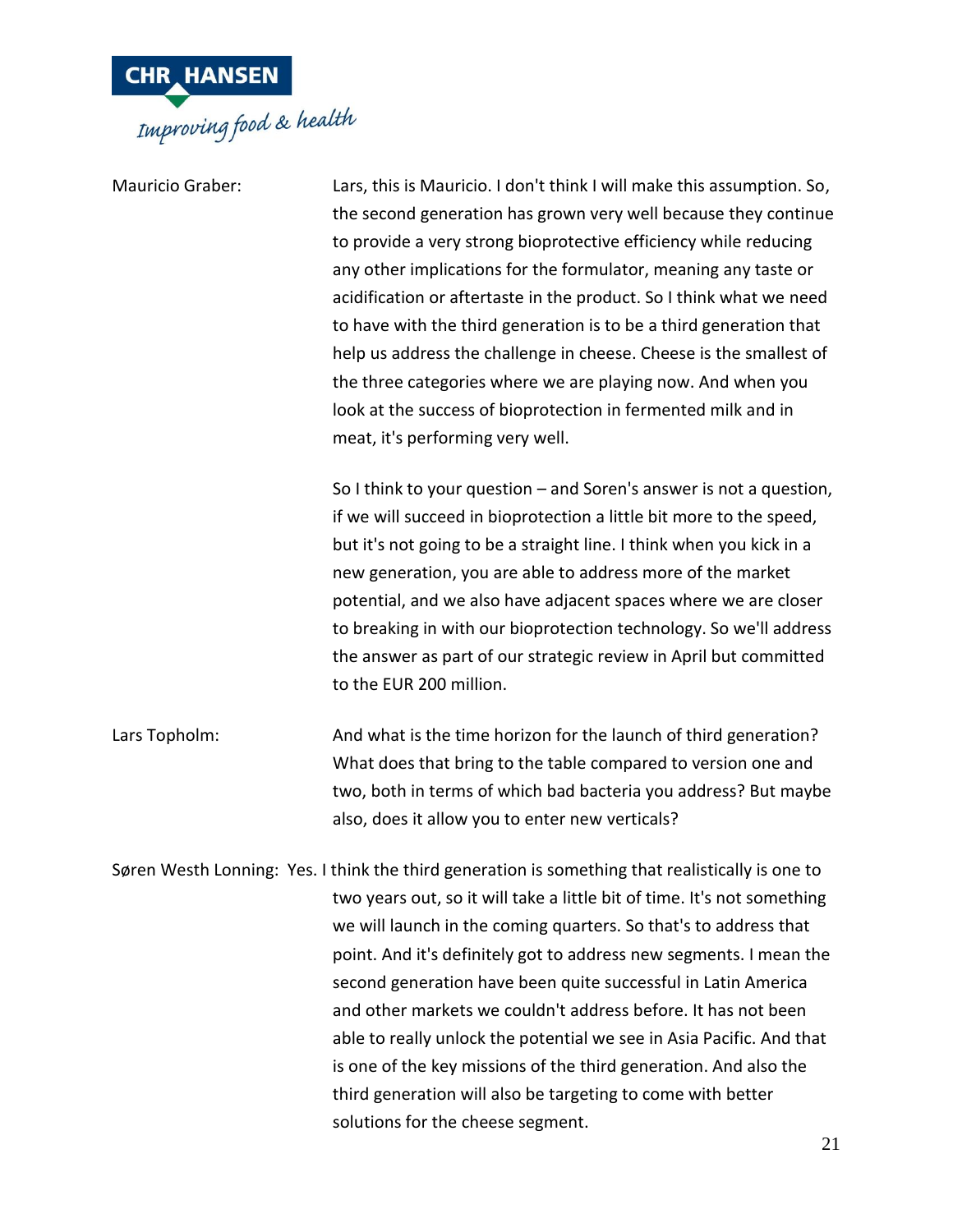

| <b>Mauricio Graber:</b> | Lars, this is Mauricio. I don't think I will make this assumption. So,<br>the second generation has grown very well because they continue<br>to provide a very strong bioprotective efficiency while reducing<br>any other implications for the formulator, meaning any taste or<br>acidification or aftertaste in the product. So I think what we need<br>to have with the third generation is to be a third generation that<br>help us address the challenge in cheese. Cheese is the smallest of<br>the three categories where we are playing now. And when you<br>look at the success of bioprotection in fermented milk and in<br>meat, it's performing very well.                                 |
|-------------------------|---------------------------------------------------------------------------------------------------------------------------------------------------------------------------------------------------------------------------------------------------------------------------------------------------------------------------------------------------------------------------------------------------------------------------------------------------------------------------------------------------------------------------------------------------------------------------------------------------------------------------------------------------------------------------------------------------------|
|                         | So I think to your question $-$ and Soren's answer is not a question,<br>if we will succeed in bioprotection a little bit more to the speed,<br>but it's not going to be a straight line. I think when you kick in a<br>new generation, you are able to address more of the market<br>potential, and we also have adjacent spaces where we are closer<br>to breaking in with our bioprotection technology. So we'll address<br>the answer as part of our strategic review in April but committed<br>to the EUR 200 million.                                                                                                                                                                             |
| Lars Topholm:           | And what is the time horizon for the launch of third generation?<br>What does that bring to the table compared to version one and<br>two, both in terms of which bad bacteria you address? But maybe<br>also, does it allow you to enter new verticals?                                                                                                                                                                                                                                                                                                                                                                                                                                                 |
|                         | Søren Westh Lonning: Yes. I think the third generation is something that realistically is one to<br>two years out, so it will take a little bit of time. It's not something<br>we will launch in the coming quarters. So that's to address that<br>point. And it's definitely got to address new segments. I mean the<br>second generation have been quite successful in Latin America<br>and other markets we couldn't address before. It has not been<br>able to really unlock the potential we see in Asia Pacific. And that<br>is one of the key missions of the third generation. And also the<br>third generation will also be targeting to come with better<br>solutions for the cheese segment. |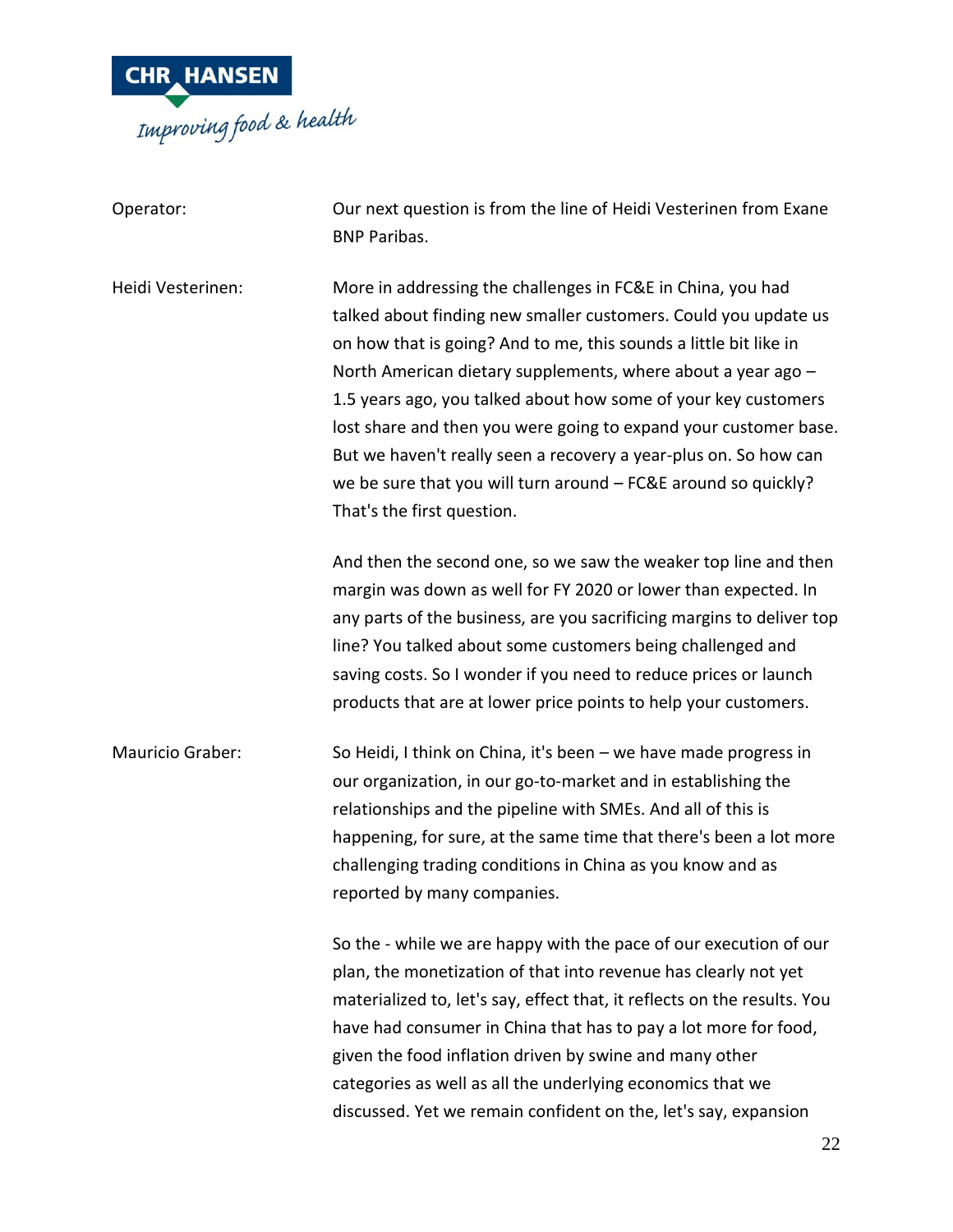

| Operator:         | Our next question is from the line of Heidi Vesterinen from Exane<br><b>BNP Paribas.</b>                                                                                                                                                                                                                                                                                                                                                                                                                                                                                      |
|-------------------|-------------------------------------------------------------------------------------------------------------------------------------------------------------------------------------------------------------------------------------------------------------------------------------------------------------------------------------------------------------------------------------------------------------------------------------------------------------------------------------------------------------------------------------------------------------------------------|
| Heidi Vesterinen: | More in addressing the challenges in FC&E in China, you had<br>talked about finding new smaller customers. Could you update us<br>on how that is going? And to me, this sounds a little bit like in<br>North American dietary supplements, where about a year ago -<br>1.5 years ago, you talked about how some of your key customers<br>lost share and then you were going to expand your customer base.<br>But we haven't really seen a recovery a year-plus on. So how can<br>we be sure that you will turn around - FC&E around so quickly?<br>That's the first question. |
|                   | And then the second one, so we saw the weaker top line and then<br>margin was down as well for FY 2020 or lower than expected. In<br>any parts of the business, are you sacrificing margins to deliver top<br>line? You talked about some customers being challenged and<br>saving costs. So I wonder if you need to reduce prices or launch<br>products that are at lower price points to help your customers.                                                                                                                                                               |
| Mauricio Graber:  | So Heidi, I think on China, it's been - we have made progress in<br>our organization, in our go-to-market and in establishing the<br>relationships and the pipeline with SMEs. And all of this is<br>happening, for sure, at the same time that there's been a lot more<br>challenging trading conditions in China as you know and as<br>reported by many companies.                                                                                                                                                                                                          |
|                   | So the - while we are happy with the pace of our execution of our<br>plan, the monetization of that into revenue has clearly not yet<br>materialized to, let's say, effect that, it reflects on the results. You<br>have had consumer in China that has to pay a lot more for food,<br>given the food inflation driven by swine and many other<br>categories as well as all the underlying economics that we<br>discussed. Yet we remain confident on the, let's say, expansion                                                                                               |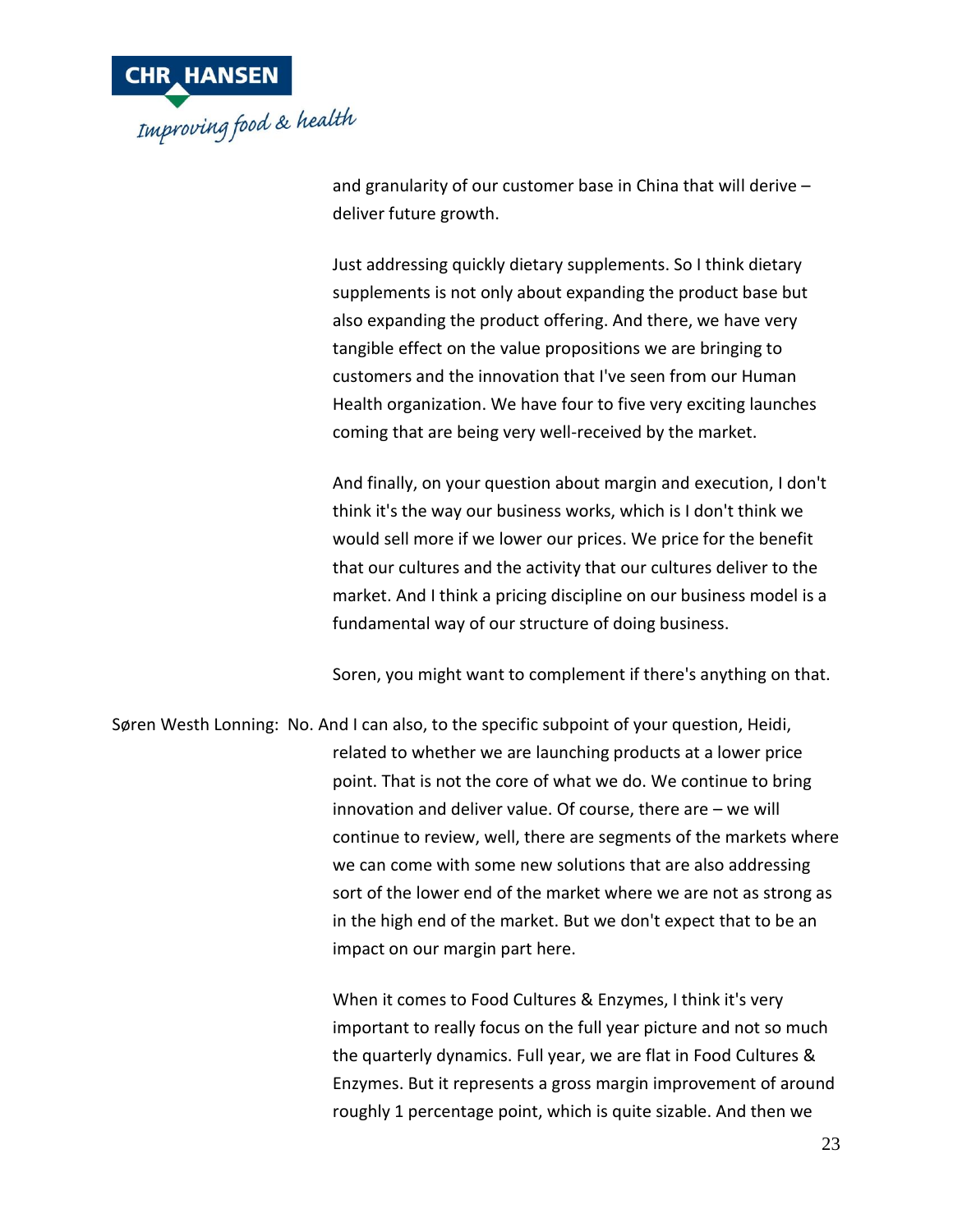

and granularity of our customer base in China that will derive – deliver future growth.

Just addressing quickly dietary supplements. So I think dietary supplements is not only about expanding the product base but also expanding the product offering. And there, we have very tangible effect on the value propositions we are bringing to customers and the innovation that I've seen from our Human Health organization. We have four to five very exciting launches coming that are being very well-received by the market.

And finally, on your question about margin and execution, I don't think it's the way our business works, which is I don't think we would sell more if we lower our prices. We price for the benefit that our cultures and the activity that our cultures deliver to the market. And I think a pricing discipline on our business model is a fundamental way of our structure of doing business.

Soren, you might want to complement if there's anything on that.

Søren Westh Lonning: No. And I can also, to the specific subpoint of your question, Heidi, related to whether we are launching products at a lower price point. That is not the core of what we do. We continue to bring innovation and deliver value. Of course, there are – we will continue to review, well, there are segments of the markets where we can come with some new solutions that are also addressing sort of the lower end of the market where we are not as strong as in the high end of the market. But we don't expect that to be an impact on our margin part here.

> When it comes to Food Cultures & Enzymes, I think it's very important to really focus on the full year picture and not so much the quarterly dynamics. Full year, we are flat in Food Cultures & Enzymes. But it represents a gross margin improvement of around roughly 1 percentage point, which is quite sizable. And then we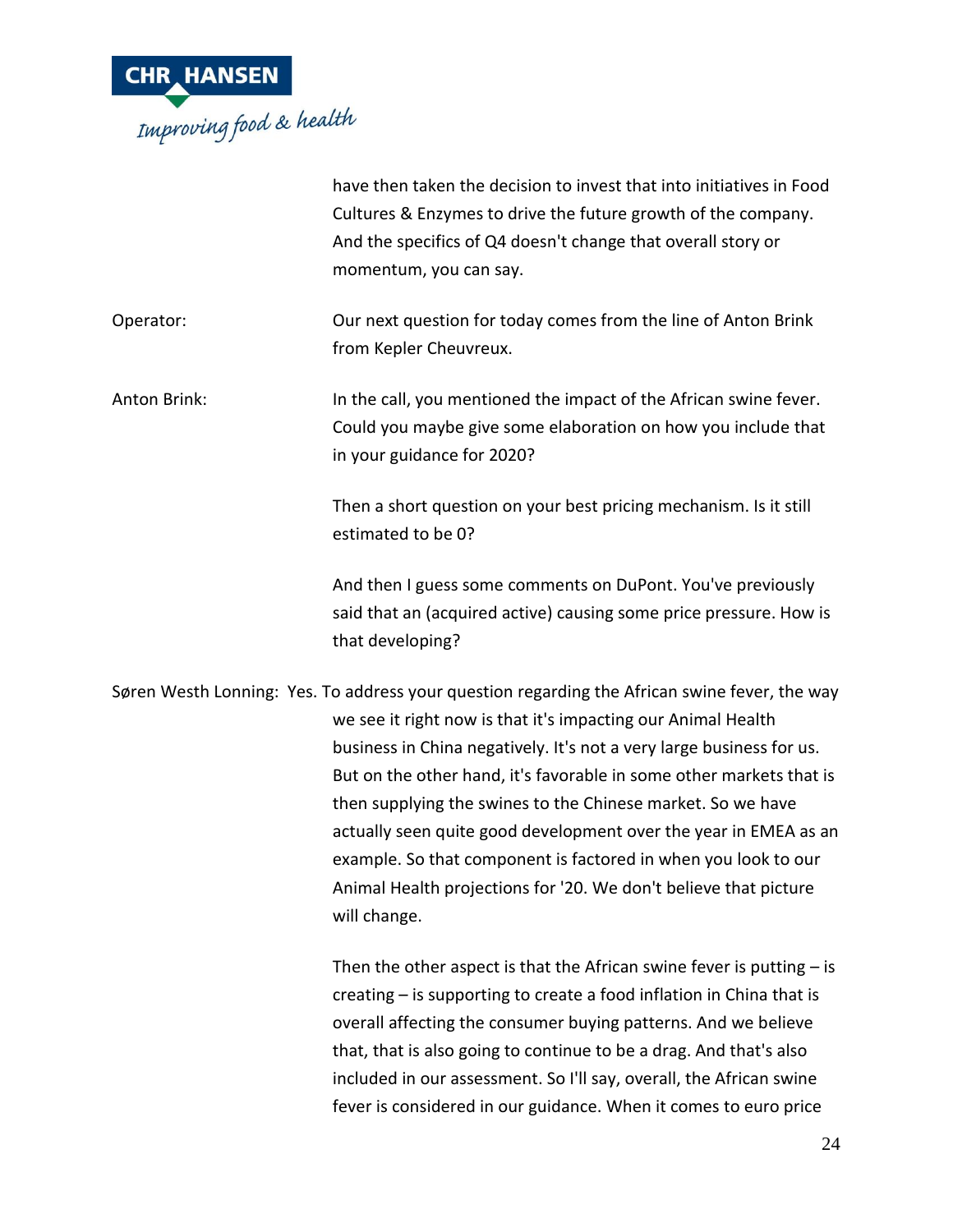

|                     | have then taken the decision to invest that into initiatives in Food<br>Cultures & Enzymes to drive the future growth of the company.<br>And the specifics of Q4 doesn't change that overall story or<br>momentum, you can say.                                                                                                                                                                                                                                                                                                                                                                       |
|---------------------|-------------------------------------------------------------------------------------------------------------------------------------------------------------------------------------------------------------------------------------------------------------------------------------------------------------------------------------------------------------------------------------------------------------------------------------------------------------------------------------------------------------------------------------------------------------------------------------------------------|
| Operator:           | Our next question for today comes from the line of Anton Brink<br>from Kepler Cheuvreux.                                                                                                                                                                                                                                                                                                                                                                                                                                                                                                              |
| <b>Anton Brink:</b> | In the call, you mentioned the impact of the African swine fever.<br>Could you maybe give some elaboration on how you include that<br>in your guidance for 2020?                                                                                                                                                                                                                                                                                                                                                                                                                                      |
|                     | Then a short question on your best pricing mechanism. Is it still<br>estimated to be 0?                                                                                                                                                                                                                                                                                                                                                                                                                                                                                                               |
|                     | And then I guess some comments on DuPont. You've previously<br>said that an (acquired active) causing some price pressure. How is<br>that developing?                                                                                                                                                                                                                                                                                                                                                                                                                                                 |
|                     | Søren Westh Lonning: Yes. To address your question regarding the African swine fever, the way<br>we see it right now is that it's impacting our Animal Health<br>business in China negatively. It's not a very large business for us.<br>But on the other hand, it's favorable in some other markets that is<br>then supplying the swines to the Chinese market. So we have<br>actually seen quite good development over the year in EMEA as an<br>example. So that component is factored in when you look to our<br>Animal Health projections for '20. We don't believe that picture<br>will change. |
|                     | Then the other aspect is that the African swine fever is putting $-$ is<br>creating – is supporting to create a food inflation in China that is<br>overall affecting the consumer buying patterns. And we believe<br>that, that is also going to continue to be a drag. And that's also<br>included in our assessment. So I'll say, overall, the African swine<br>fever is considered in our guidance. When it comes to euro price                                                                                                                                                                    |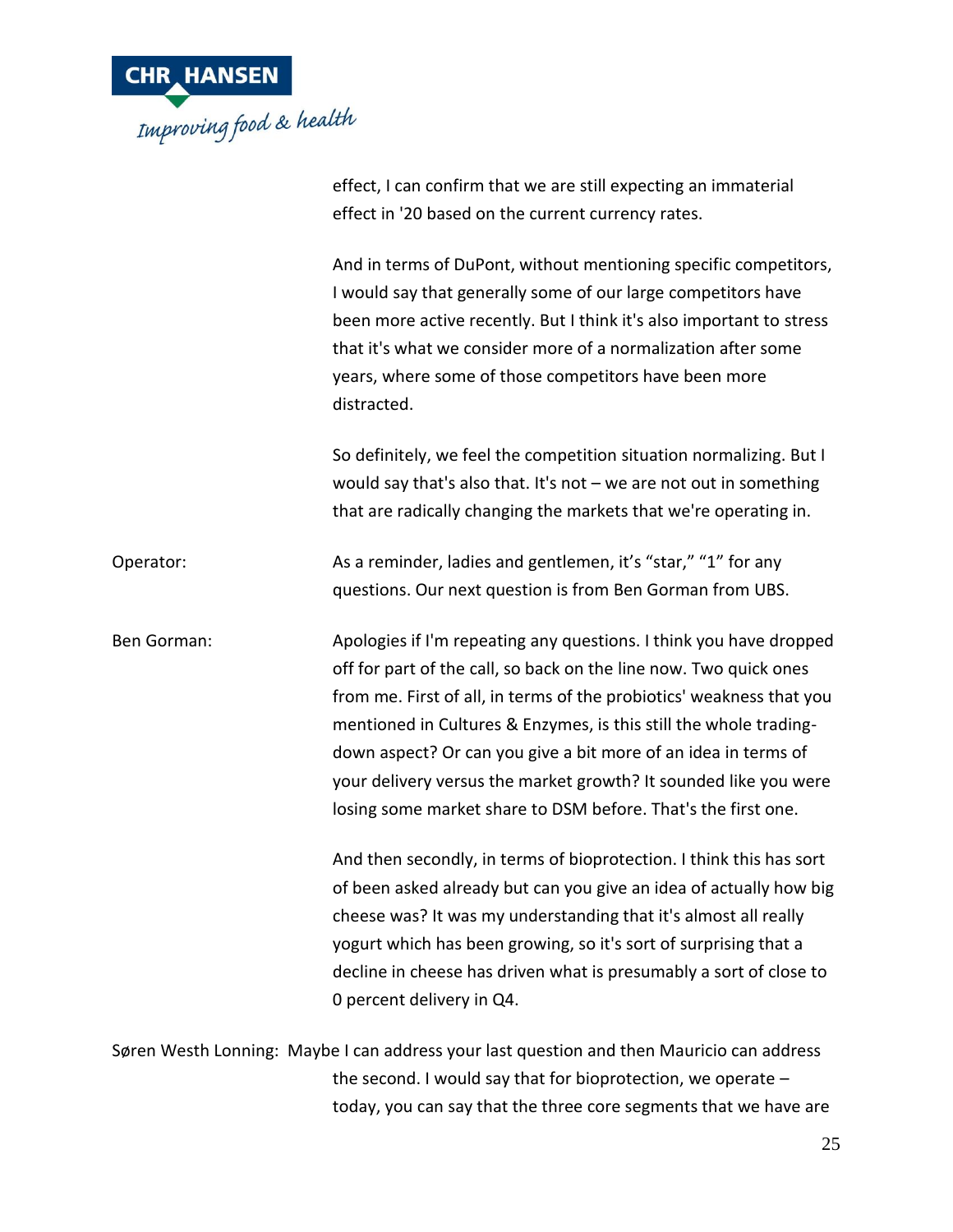

|             | effect, I can confirm that we are still expecting an immaterial                                                                                                                                                                                                                                                                                                                                                                                                                             |
|-------------|---------------------------------------------------------------------------------------------------------------------------------------------------------------------------------------------------------------------------------------------------------------------------------------------------------------------------------------------------------------------------------------------------------------------------------------------------------------------------------------------|
|             | effect in '20 based on the current currency rates.                                                                                                                                                                                                                                                                                                                                                                                                                                          |
|             | And in terms of DuPont, without mentioning specific competitors,<br>I would say that generally some of our large competitors have<br>been more active recently. But I think it's also important to stress<br>that it's what we consider more of a normalization after some<br>years, where some of those competitors have been more<br>distracted.                                                                                                                                          |
|             | So definitely, we feel the competition situation normalizing. But I<br>would say that's also that. It's not $-$ we are not out in something<br>that are radically changing the markets that we're operating in.                                                                                                                                                                                                                                                                             |
| Operator:   | As a reminder, ladies and gentlemen, it's "star," "1" for any<br>questions. Our next question is from Ben Gorman from UBS.                                                                                                                                                                                                                                                                                                                                                                  |
| Ben Gorman: | Apologies if I'm repeating any questions. I think you have dropped<br>off for part of the call, so back on the line now. Two quick ones<br>from me. First of all, in terms of the probiotics' weakness that you<br>mentioned in Cultures & Enzymes, is this still the whole trading-<br>down aspect? Or can you give a bit more of an idea in terms of<br>your delivery versus the market growth? It sounded like you were<br>losing some market share to DSM before. That's the first one. |
|             | And then secondly, in terms of bioprotection. I think this has sort<br>of been asked already but can you give an idea of actually how big<br>cheese was? It was my understanding that it's almost all really<br>yogurt which has been growing, so it's sort of surprising that a<br>decline in cheese has driven what is presumably a sort of close to<br>0 percent delivery in Q4.                                                                                                         |
|             | Søren Westh Lonning: Maybe I can address your last question and then Mauricio can address                                                                                                                                                                                                                                                                                                                                                                                                   |

the second. I would say that for bioprotection, we operate – today, you can say that the three core segments that we have are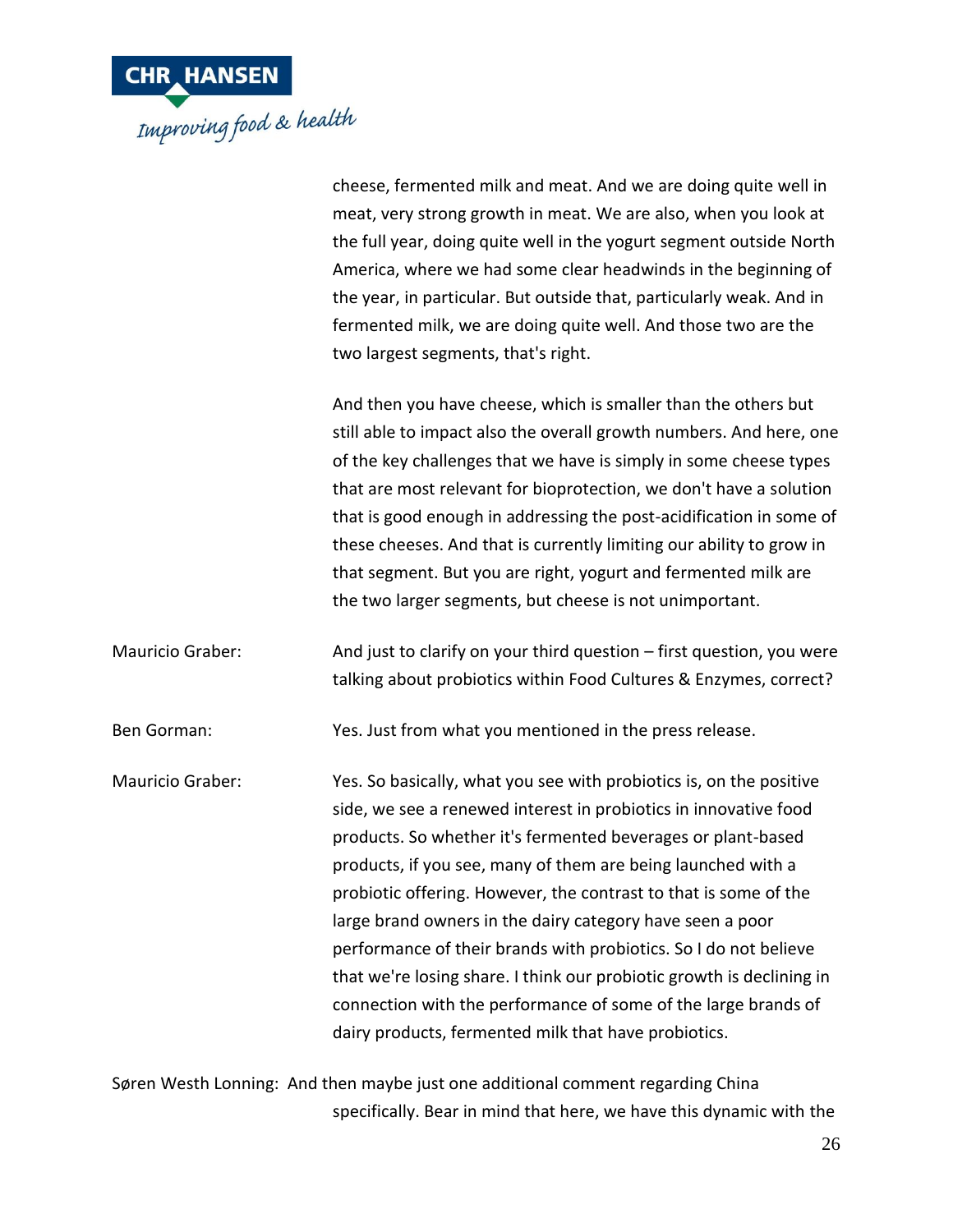

|                  | cheese, fermented milk and meat. And we are doing quite well in<br>meat, very strong growth in meat. We are also, when you look at<br>the full year, doing quite well in the yogurt segment outside North<br>America, where we had some clear headwinds in the beginning of<br>the year, in particular. But outside that, particularly weak. And in<br>fermented milk, we are doing quite well. And those two are the<br>two largest segments, that's right.                                                                                                                                                                                                                    |
|------------------|---------------------------------------------------------------------------------------------------------------------------------------------------------------------------------------------------------------------------------------------------------------------------------------------------------------------------------------------------------------------------------------------------------------------------------------------------------------------------------------------------------------------------------------------------------------------------------------------------------------------------------------------------------------------------------|
|                  | And then you have cheese, which is smaller than the others but<br>still able to impact also the overall growth numbers. And here, one<br>of the key challenges that we have is simply in some cheese types<br>that are most relevant for bioprotection, we don't have a solution<br>that is good enough in addressing the post-acidification in some of<br>these cheeses. And that is currently limiting our ability to grow in<br>that segment. But you are right, yogurt and fermented milk are<br>the two larger segments, but cheese is not unimportant.                                                                                                                    |
| Mauricio Graber: | And just to clarify on your third question – first question, you were<br>talking about probiotics within Food Cultures & Enzymes, correct?                                                                                                                                                                                                                                                                                                                                                                                                                                                                                                                                      |
| Ben Gorman:      | Yes. Just from what you mentioned in the press release.                                                                                                                                                                                                                                                                                                                                                                                                                                                                                                                                                                                                                         |
| Mauricio Graber: | Yes. So basically, what you see with probiotics is, on the positive<br>side, we see a renewed interest in probiotics in innovative food<br>products. So whether it's fermented beverages or plant-based<br>products, if you see, many of them are being launched with a<br>probiotic offering. However, the contrast to that is some of the<br>large brand owners in the dairy category have seen a poor<br>performance of their brands with probiotics. So I do not believe<br>that we're losing share. I think our probiotic growth is declining in<br>connection with the performance of some of the large brands of<br>dairy products, fermented milk that have probiotics. |
|                  |                                                                                                                                                                                                                                                                                                                                                                                                                                                                                                                                                                                                                                                                                 |

Søren Westh Lonning: And then maybe just one additional comment regarding China specifically. Bear in mind that here, we have this dynamic with the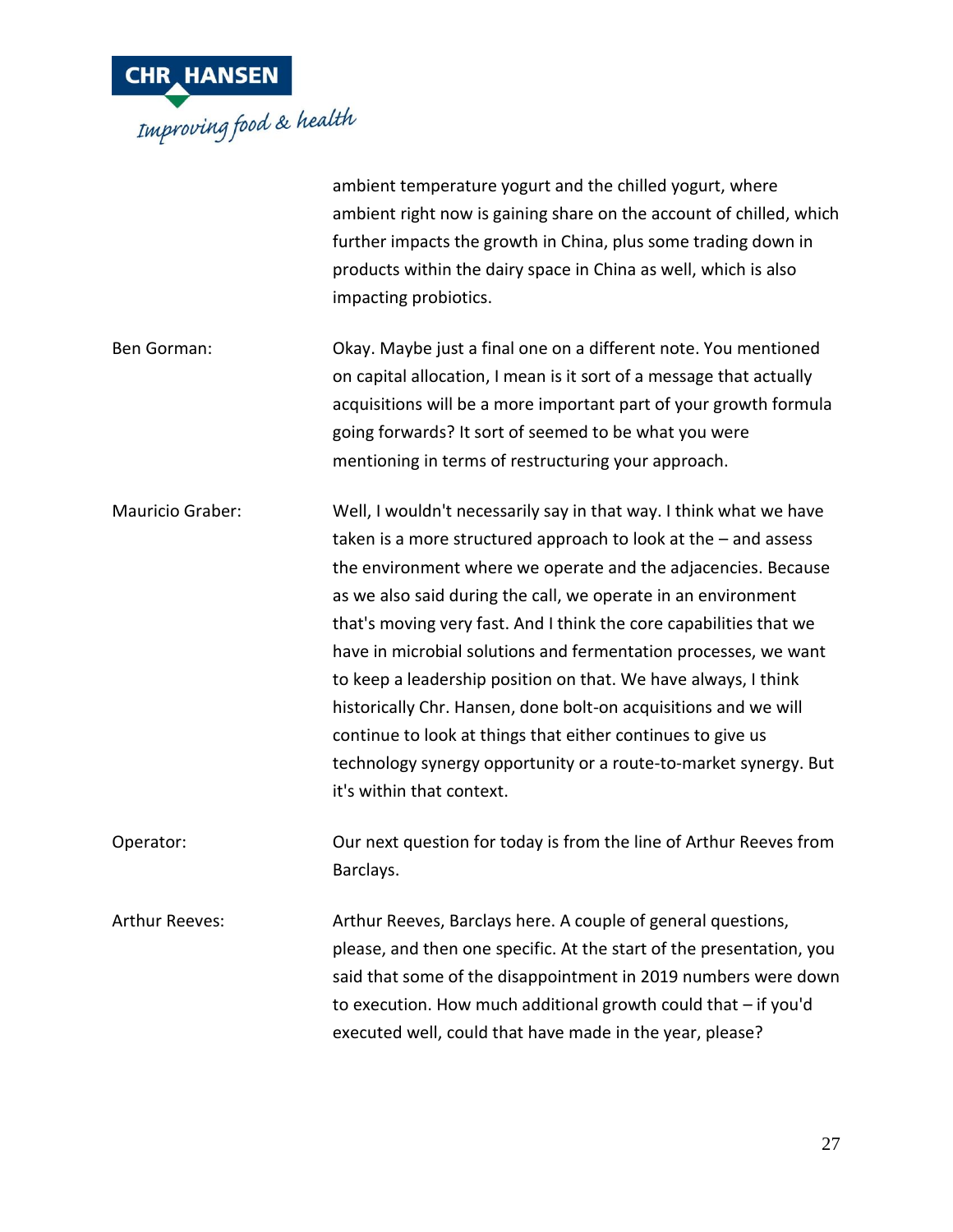

|                       | ambient temperature yogurt and the chilled yogurt, where<br>ambient right now is gaining share on the account of chilled, which<br>further impacts the growth in China, plus some trading down in<br>products within the dairy space in China as well, which is also<br>impacting probiotics.                                                                                                                                                                                                                                                                                                                                                                                                                           |
|-----------------------|-------------------------------------------------------------------------------------------------------------------------------------------------------------------------------------------------------------------------------------------------------------------------------------------------------------------------------------------------------------------------------------------------------------------------------------------------------------------------------------------------------------------------------------------------------------------------------------------------------------------------------------------------------------------------------------------------------------------------|
| Ben Gorman:           | Okay. Maybe just a final one on a different note. You mentioned<br>on capital allocation, I mean is it sort of a message that actually<br>acquisitions will be a more important part of your growth formula<br>going forwards? It sort of seemed to be what you were<br>mentioning in terms of restructuring your approach.                                                                                                                                                                                                                                                                                                                                                                                             |
| Mauricio Graber:      | Well, I wouldn't necessarily say in that way. I think what we have<br>taken is a more structured approach to look at the $-$ and assess<br>the environment where we operate and the adjacencies. Because<br>as we also said during the call, we operate in an environment<br>that's moving very fast. And I think the core capabilities that we<br>have in microbial solutions and fermentation processes, we want<br>to keep a leadership position on that. We have always, I think<br>historically Chr. Hansen, done bolt-on acquisitions and we will<br>continue to look at things that either continues to give us<br>technology synergy opportunity or a route-to-market synergy. But<br>it's within that context. |
| Operator:             | Our next question for today is from the line of Arthur Reeves from<br>Barclays.                                                                                                                                                                                                                                                                                                                                                                                                                                                                                                                                                                                                                                         |
| <b>Arthur Reeves:</b> | Arthur Reeves, Barclays here. A couple of general questions,<br>please, and then one specific. At the start of the presentation, you<br>said that some of the disappointment in 2019 numbers were down<br>to execution. How much additional growth could that - if you'd<br>executed well, could that have made in the year, please?                                                                                                                                                                                                                                                                                                                                                                                    |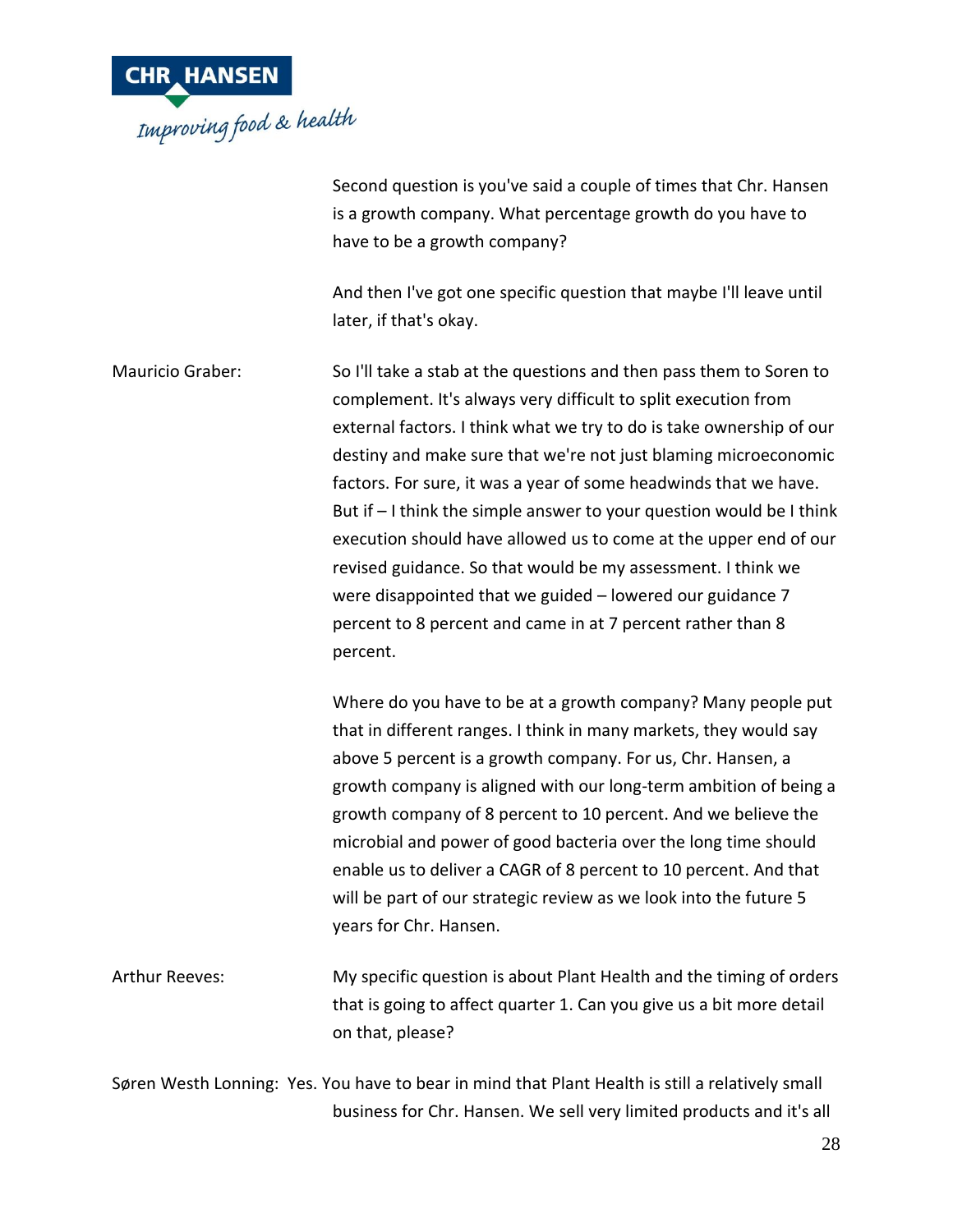

Second question is you've said a couple of times that Chr. Hansen is a growth company. What percentage growth do you have to have to be a growth company?

And then I've got one specific question that maybe I'll leave until later, if that's okay.

Mauricio Graber: So I'll take a stab at the questions and then pass them to Soren to complement. It's always very difficult to split execution from external factors. I think what we try to do is take ownership of our destiny and make sure that we're not just blaming microeconomic factors. For sure, it was a year of some headwinds that we have. But if – I think the simple answer to your question would be I think execution should have allowed us to come at the upper end of our revised guidance. So that would be my assessment. I think we were disappointed that we guided – lowered our guidance 7 percent to 8 percent and came in at 7 percent rather than 8 percent.

> Where do you have to be at a growth company? Many people put that in different ranges. I think in many markets, they would say above 5 percent is a growth company. For us, Chr. Hansen, a growth company is aligned with our long-term ambition of being a growth company of 8 percent to 10 percent. And we believe the microbial and power of good bacteria over the long time should enable us to deliver a CAGR of 8 percent to 10 percent. And that will be part of our strategic review as we look into the future 5 years for Chr. Hansen.

Arthur Reeves: My specific question is about Plant Health and the timing of orders that is going to affect quarter 1. Can you give us a bit more detail on that, please?

Søren Westh Lonning: Yes. You have to bear in mind that Plant Health is still a relatively small business for Chr. Hansen. We sell very limited products and it's all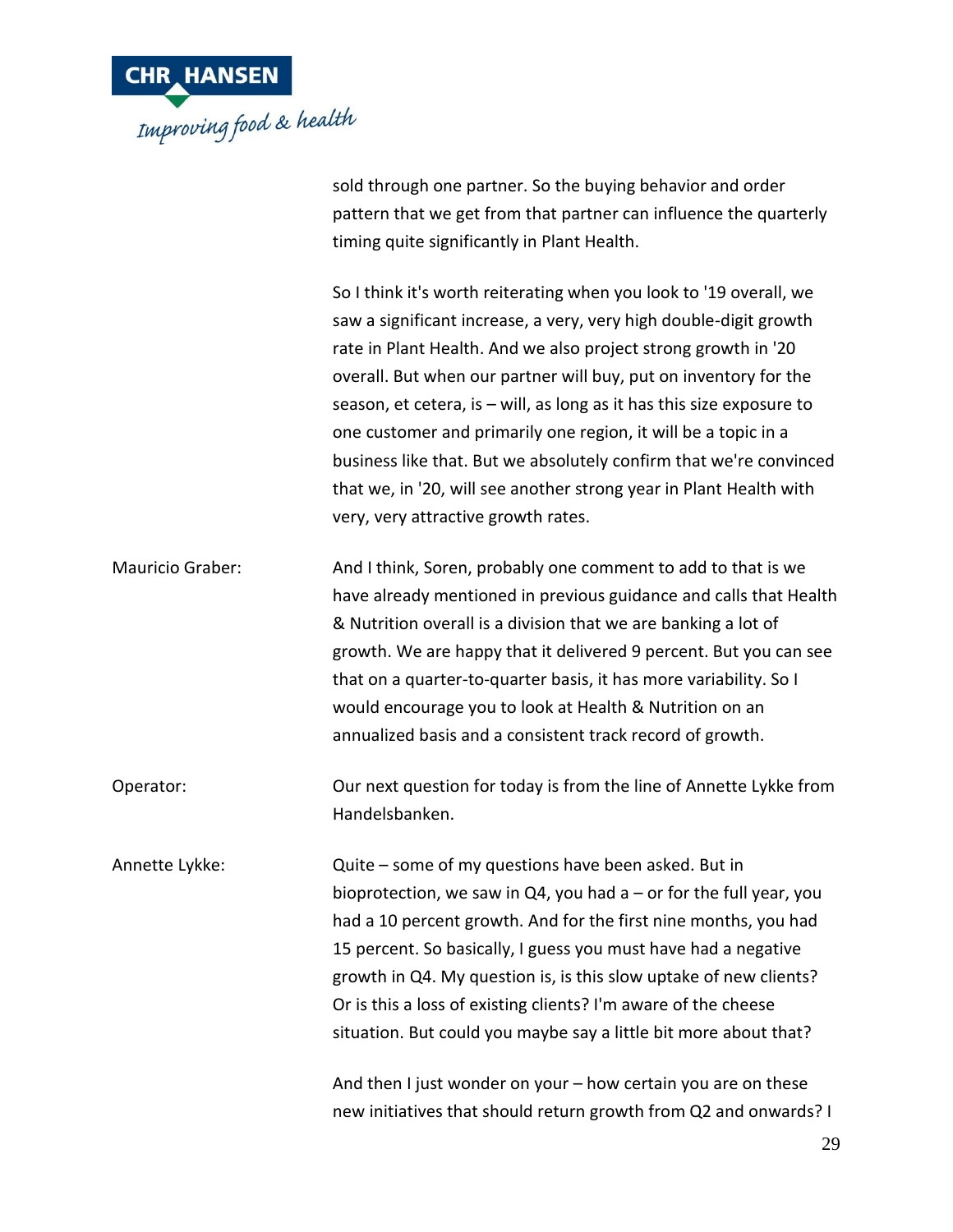

sold through one partner. So the buying behavior and order pattern that we get from that partner can influence the quarterly timing quite significantly in Plant Health.

So I think it's worth reiterating when you look to '19 overall, we saw a significant increase, a very, very high double-digit growth rate in Plant Health. And we also project strong growth in '20 overall. But when our partner will buy, put on inventory for the season, et cetera, is – will, as long as it has this size exposure to one customer and primarily one region, it will be a topic in a business like that. But we absolutely confirm that we're convinced that we, in '20, will see another strong year in Plant Health with very, very attractive growth rates. Mauricio Graber: And I think, Soren, probably one comment to add to that is we have already mentioned in previous guidance and calls that Health & Nutrition overall is a division that we are banking a lot of growth. We are happy that it delivered 9 percent. But you can see that on a quarter-to-quarter basis, it has more variability. So I would encourage you to look at Health & Nutrition on an annualized basis and a consistent track record of growth. Operator: Our next question for today is from the line of Annette Lykke from Handelsbanken. Annette Lykke: Quite – some of my questions have been asked. But in bioprotection, we saw in  $Q4$ , you had a – or for the full year, you had a 10 percent growth. And for the first nine months, you had 15 percent. So basically, I guess you must have had a negative growth in Q4. My question is, is this slow uptake of new clients? Or is this a loss of existing clients? I'm aware of the cheese

situation. But could you maybe say a little bit more about that?

And then I just wonder on your – how certain you are on these new initiatives that should return growth from Q2 and onwards? I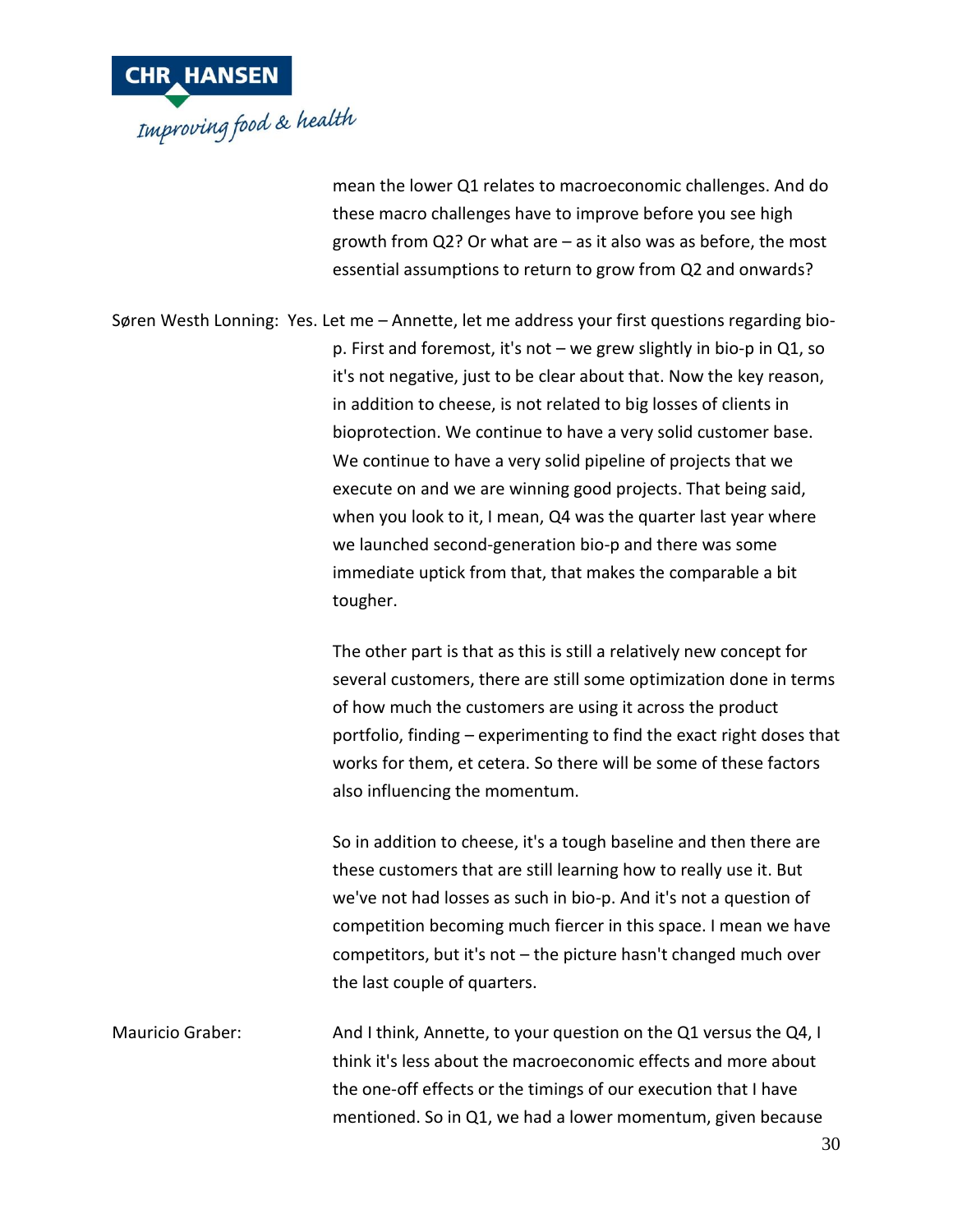

mean the lower Q1 relates to macroeconomic challenges. And do these macro challenges have to improve before you see high growth from Q2? Or what are – as it also was as before, the most essential assumptions to return to grow from Q2 and onwards?

Søren Westh Lonning: Yes. Let me – Annette, let me address your first questions regarding biop. First and foremost, it's not – we grew slightly in bio-p in Q1, so it's not negative, just to be clear about that. Now the key reason, in addition to cheese, is not related to big losses of clients in bioprotection. We continue to have a very solid customer base. We continue to have a very solid pipeline of projects that we execute on and we are winning good projects. That being said, when you look to it, I mean, Q4 was the quarter last year where we launched second-generation bio-p and there was some immediate uptick from that, that makes the comparable a bit tougher.

> The other part is that as this is still a relatively new concept for several customers, there are still some optimization done in terms of how much the customers are using it across the product portfolio, finding – experimenting to find the exact right doses that works for them, et cetera. So there will be some of these factors also influencing the momentum.

So in addition to cheese, it's a tough baseline and then there are these customers that are still learning how to really use it. But we've not had losses as such in bio-p. And it's not a question of competition becoming much fiercer in this space. I mean we have competitors, but it's not – the picture hasn't changed much over the last couple of quarters.

Mauricio Graber: And I think, Annette, to your question on the Q1 versus the Q4, I think it's less about the macroeconomic effects and more about the one-off effects or the timings of our execution that I have mentioned. So in Q1, we had a lower momentum, given because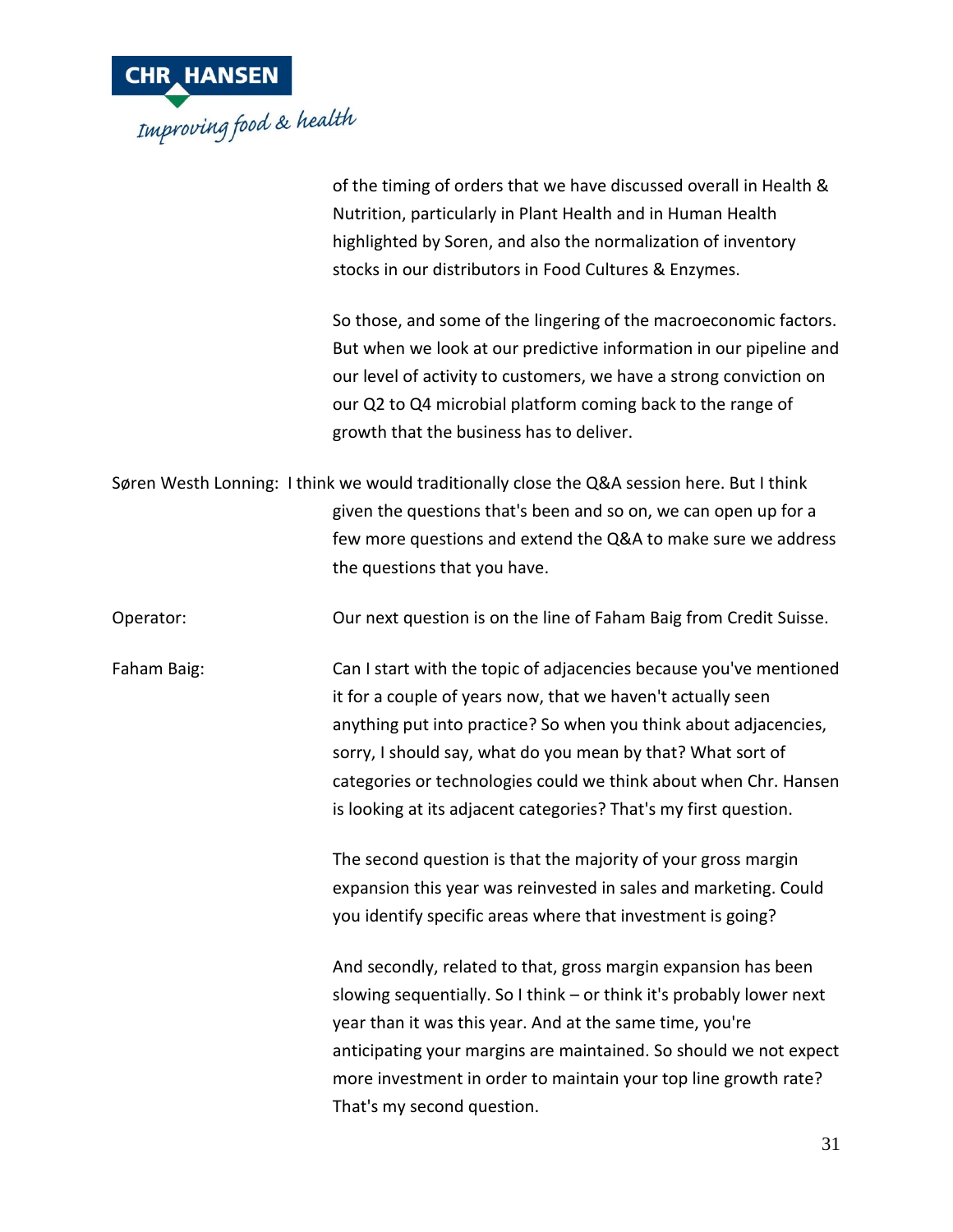

of the timing of orders that we have discussed overall in Health & Nutrition, particularly in Plant Health and in Human Health highlighted by Soren, and also the normalization of inventory stocks in our distributors in Food Cultures & Enzymes.

So those, and some of the lingering of the macroeconomic factors. But when we look at our predictive information in our pipeline and our level of activity to customers, we have a strong conviction on our Q2 to Q4 microbial platform coming back to the range of growth that the business has to deliver.

Søren Westh Lonning: I think we would traditionally close the Q&A session here. But I think given the questions that's been and so on, we can open up for a few more questions and extend the Q&A to make sure we address the questions that you have.

Operator: Our next question is on the line of Faham Baig from Credit Suisse.

Faham Baig: Can I start with the topic of adjacencies because you've mentioned it for a couple of years now, that we haven't actually seen anything put into practice? So when you think about adjacencies, sorry, I should say, what do you mean by that? What sort of categories or technologies could we think about when Chr. Hansen is looking at its adjacent categories? That's my first question.

> The second question is that the majority of your gross margin expansion this year was reinvested in sales and marketing. Could you identify specific areas where that investment is going?

And secondly, related to that, gross margin expansion has been slowing sequentially. So I think – or think it's probably lower next year than it was this year. And at the same time, you're anticipating your margins are maintained. So should we not expect more investment in order to maintain your top line growth rate? That's my second question.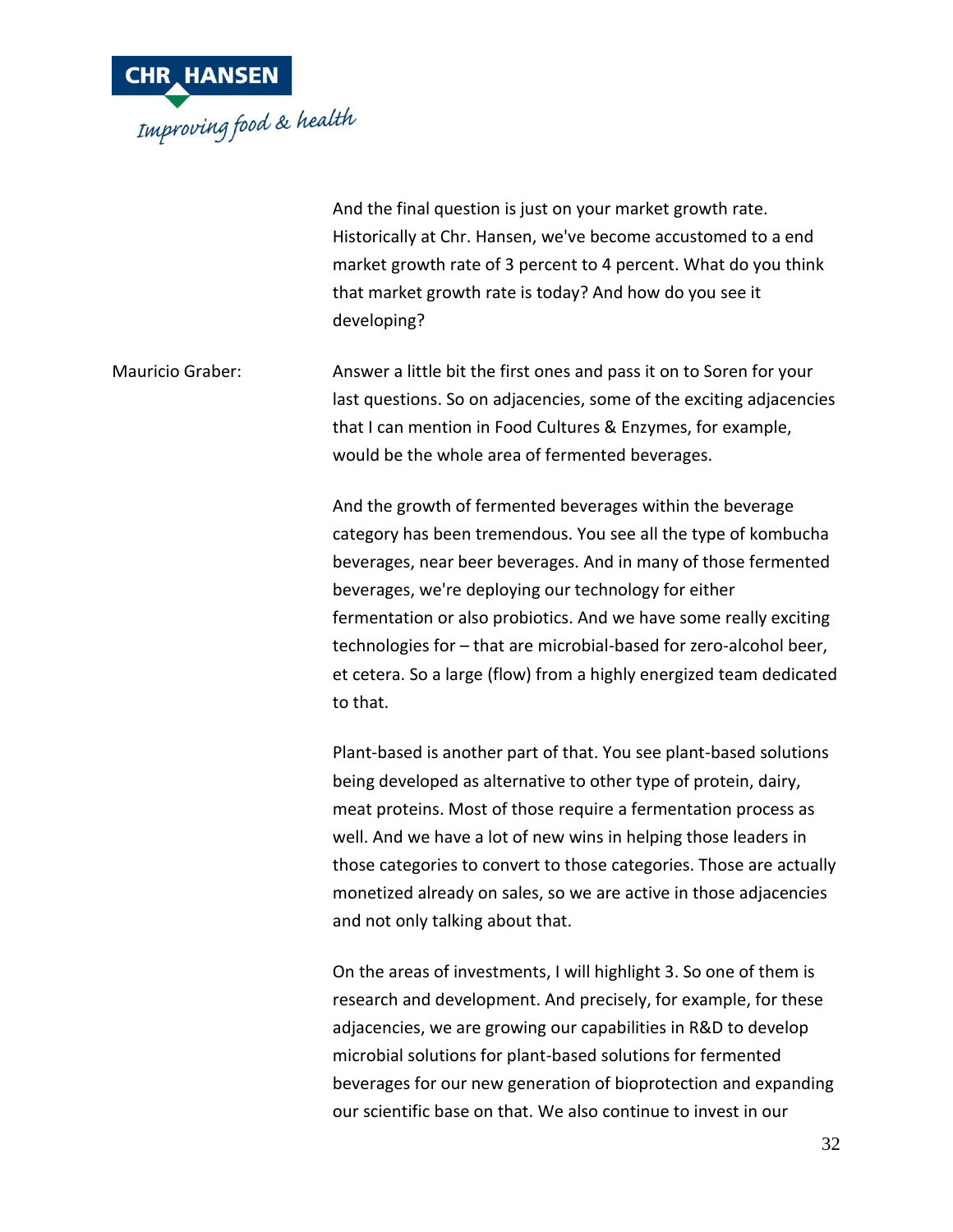

|                  | And the final question is just on your market growth rate.<br>Historically at Chr. Hansen, we've become accustomed to a end<br>market growth rate of 3 percent to 4 percent. What do you think<br>that market growth rate is today? And how do you see it<br>developing?                                                                                                                                                                                                            |
|------------------|-------------------------------------------------------------------------------------------------------------------------------------------------------------------------------------------------------------------------------------------------------------------------------------------------------------------------------------------------------------------------------------------------------------------------------------------------------------------------------------|
| Mauricio Graber: | Answer a little bit the first ones and pass it on to Soren for your<br>last questions. So on adjacencies, some of the exciting adjacencies<br>that I can mention in Food Cultures & Enzymes, for example,<br>would be the whole area of fermented beverages.                                                                                                                                                                                                                        |
|                  | And the growth of fermented beverages within the beverage<br>category has been tremendous. You see all the type of kombucha<br>beverages, near beer beverages. And in many of those fermented<br>beverages, we're deploying our technology for either<br>fermentation or also probiotics. And we have some really exciting<br>technologies for - that are microbial-based for zero-alcohol beer,<br>et cetera. So a large (flow) from a highly energized team dedicated<br>to that. |
|                  | Plant-based is another part of that. You see plant-based solutions<br>being developed as alternative to other type of protein, dairy,<br>meat proteins. Most of those require a fermentation process as<br>well. And we have a lot of new wins in helping those leaders in<br>those categories to convert to those categories. Those are actually<br>monetized already on sales, so we are active in those adjacencies<br>and not only talking about that.                          |
|                  | On the areas of investments, I will highlight 3. So one of them is<br>research and development. And precisely, for example, for these<br>adjacencies, we are growing our capabilities in R&D to develop<br>microbial solutions for plant-based solutions for fermented<br>beverages for our new generation of bioprotection and expanding<br>our scientific base on that. We also continue to invest in our                                                                         |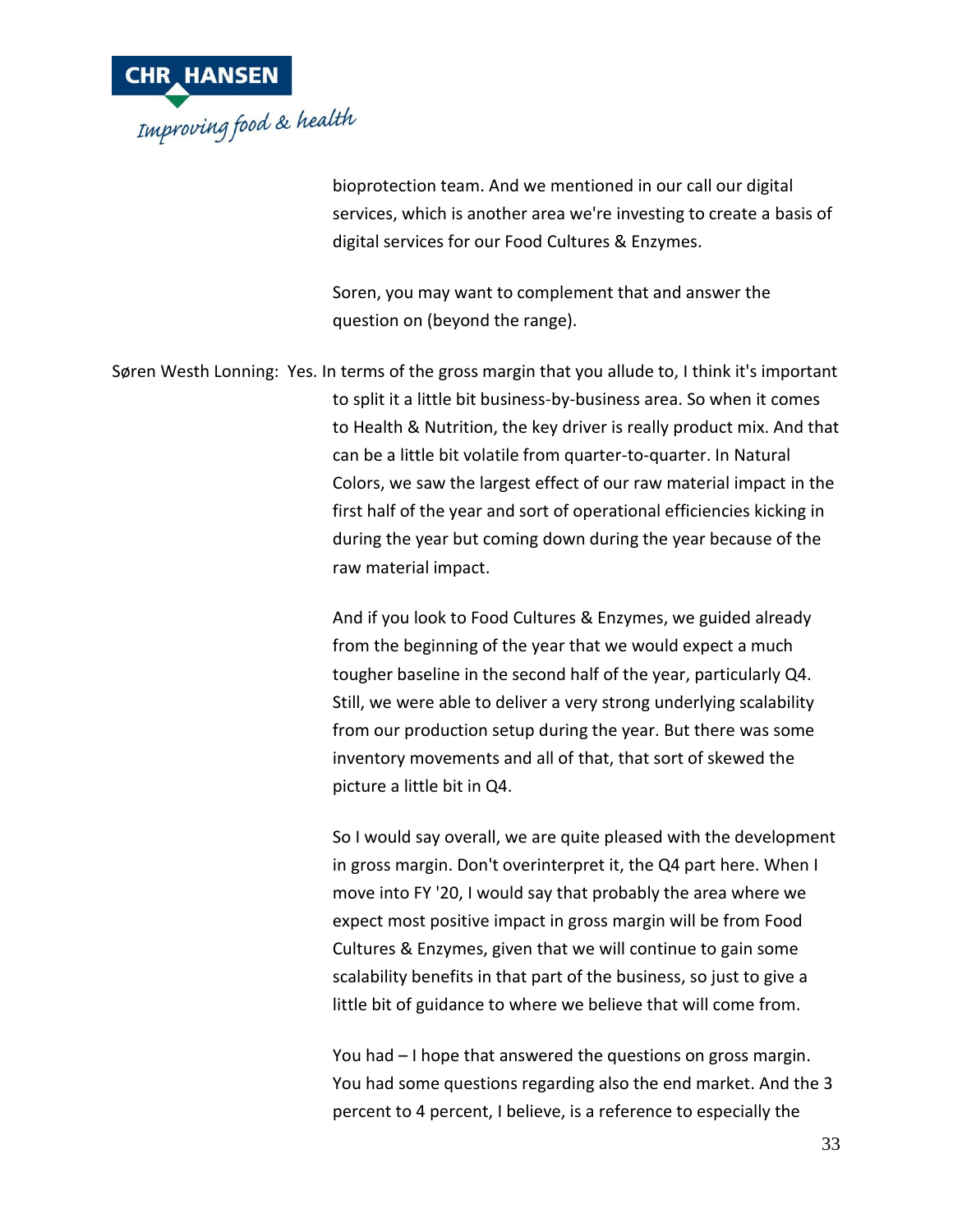

bioprotection team. And we mentioned in our call our digital services, which is another area we're investing to create a basis of digital services for our Food Cultures & Enzymes.

Soren, you may want to complement that and answer the question on (beyond the range).

Søren Westh Lonning: Yes. In terms of the gross margin that you allude to, I think it's important to split it a little bit business-by-business area. So when it comes to Health & Nutrition, the key driver is really product mix. And that can be a little bit volatile from quarter-to-quarter. In Natural Colors, we saw the largest effect of our raw material impact in the first half of the year and sort of operational efficiencies kicking in during the year but coming down during the year because of the raw material impact.

> And if you look to Food Cultures & Enzymes, we guided already from the beginning of the year that we would expect a much tougher baseline in the second half of the year, particularly Q4. Still, we were able to deliver a very strong underlying scalability from our production setup during the year. But there was some inventory movements and all of that, that sort of skewed the picture a little bit in Q4.

So I would say overall, we are quite pleased with the development in gross margin. Don't overinterpret it, the Q4 part here. When I move into FY '20, I would say that probably the area where we expect most positive impact in gross margin will be from Food Cultures & Enzymes, given that we will continue to gain some scalability benefits in that part of the business, so just to give a little bit of guidance to where we believe that will come from.

You had – I hope that answered the questions on gross margin. You had some questions regarding also the end market. And the 3 percent to 4 percent, I believe, is a reference to especially the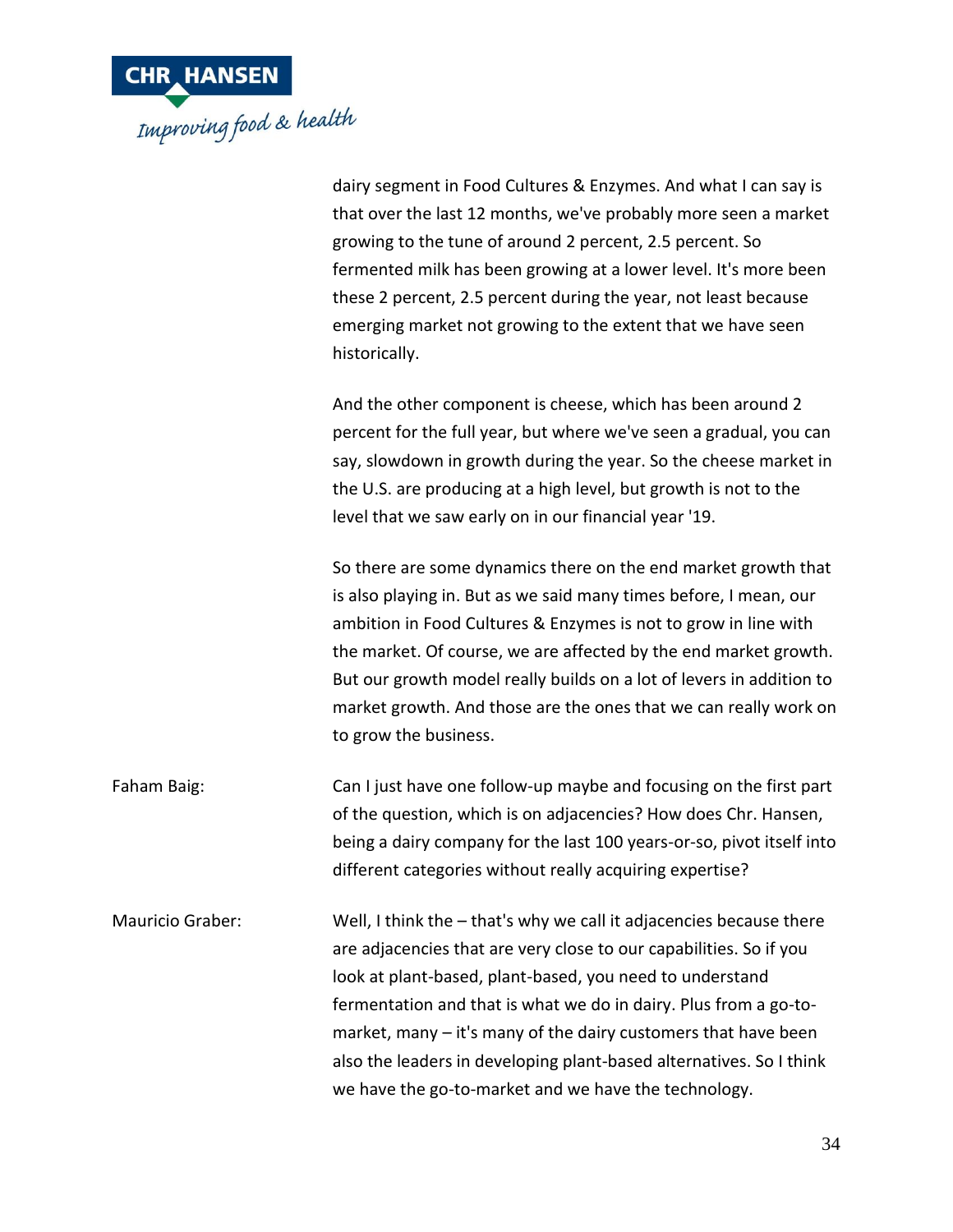

|                         | dairy segment in Food Cultures & Enzymes. And what I can say is<br>that over the last 12 months, we've probably more seen a market<br>growing to the tune of around 2 percent, 2.5 percent. So<br>fermented milk has been growing at a lower level. It's more been<br>these 2 percent, 2.5 percent during the year, not least because<br>emerging market not growing to the extent that we have seen<br>historically.                                                          |
|-------------------------|--------------------------------------------------------------------------------------------------------------------------------------------------------------------------------------------------------------------------------------------------------------------------------------------------------------------------------------------------------------------------------------------------------------------------------------------------------------------------------|
|                         | And the other component is cheese, which has been around 2<br>percent for the full year, but where we've seen a gradual, you can<br>say, slowdown in growth during the year. So the cheese market in<br>the U.S. are producing at a high level, but growth is not to the<br>level that we saw early on in our financial year '19.                                                                                                                                              |
|                         | So there are some dynamics there on the end market growth that<br>is also playing in. But as we said many times before, I mean, our<br>ambition in Food Cultures & Enzymes is not to grow in line with<br>the market. Of course, we are affected by the end market growth.<br>But our growth model really builds on a lot of levers in addition to<br>market growth. And those are the ones that we can really work on<br>to grow the business.                                |
| Faham Baig:             | Can I just have one follow-up maybe and focusing on the first part<br>of the question, which is on adjacencies? How does Chr. Hansen,<br>being a dairy company for the last 100 years-or-so, pivot itself into<br>different categories without really acquiring expertise?                                                                                                                                                                                                     |
| <b>Mauricio Graber:</b> | Well, I think the $-$ that's why we call it adjacencies because there<br>are adjacencies that are very close to our capabilities. So if you<br>look at plant-based, plant-based, you need to understand<br>fermentation and that is what we do in dairy. Plus from a go-to-<br>market, many $-$ it's many of the dairy customers that have been<br>also the leaders in developing plant-based alternatives. So I think<br>we have the go-to-market and we have the technology. |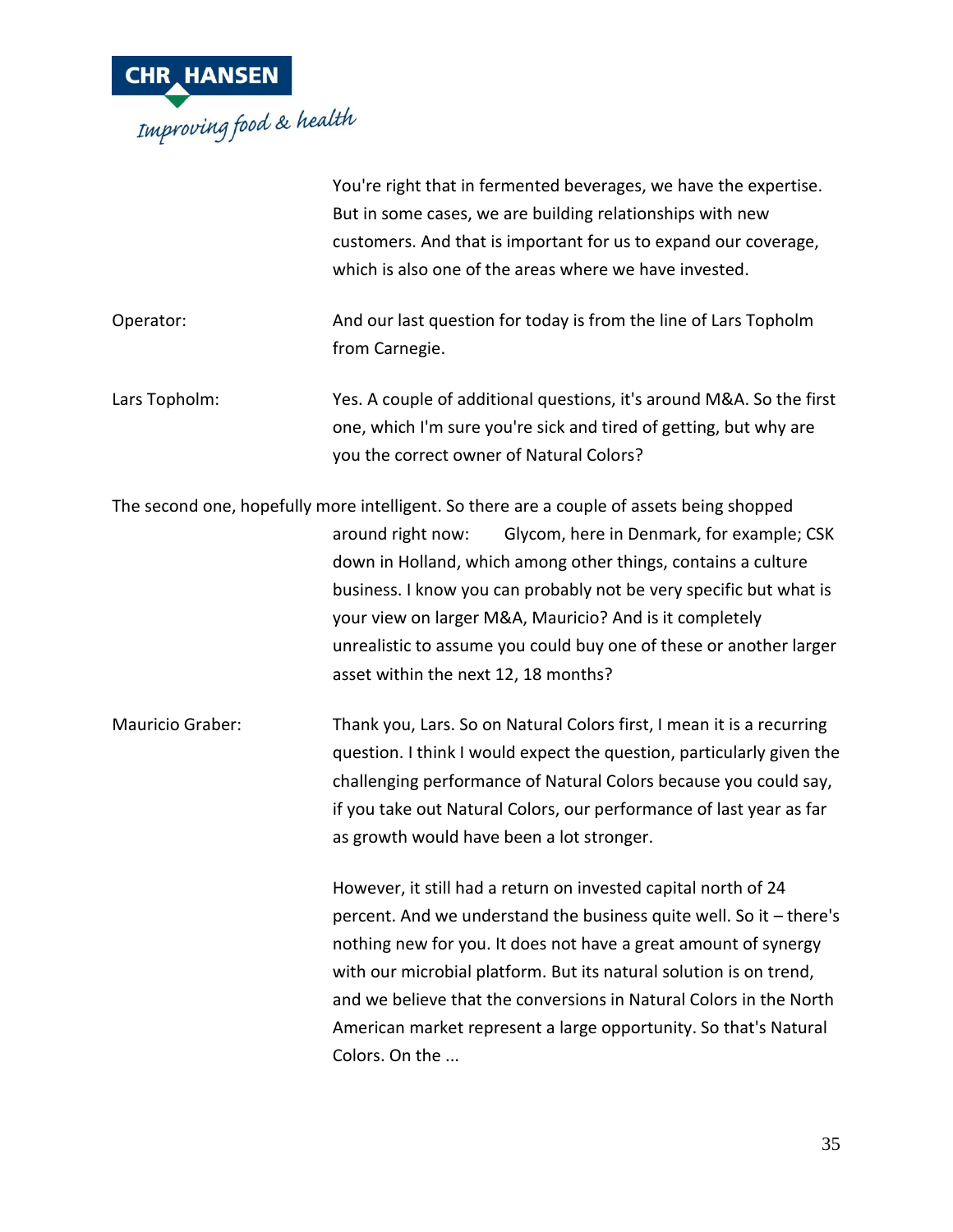

|                  | You're right that in fermented beverages, we have the expertise.<br>But in some cases, we are building relationships with new<br>customers. And that is important for us to expand our coverage,<br>which is also one of the areas where we have invested.                                                                                                                                                                                                                  |
|------------------|-----------------------------------------------------------------------------------------------------------------------------------------------------------------------------------------------------------------------------------------------------------------------------------------------------------------------------------------------------------------------------------------------------------------------------------------------------------------------------|
| Operator:        | And our last question for today is from the line of Lars Topholm<br>from Carnegie.                                                                                                                                                                                                                                                                                                                                                                                          |
| Lars Topholm:    | Yes. A couple of additional questions, it's around M&A. So the first<br>one, which I'm sure you're sick and tired of getting, but why are<br>you the correct owner of Natural Colors?                                                                                                                                                                                                                                                                                       |
|                  | The second one, hopefully more intelligent. So there are a couple of assets being shopped<br>Glycom, here in Denmark, for example; CSK<br>around right now:<br>down in Holland, which among other things, contains a culture<br>business. I know you can probably not be very specific but what is<br>your view on larger M&A, Mauricio? And is it completely<br>unrealistic to assume you could buy one of these or another larger<br>asset within the next 12, 18 months? |
| Mauricio Graber: | Thank you, Lars. So on Natural Colors first, I mean it is a recurring<br>question. I think I would expect the question, particularly given the<br>challenging performance of Natural Colors because you could say,<br>if you take out Natural Colors, our performance of last year as far<br>as growth would have been a lot stronger.                                                                                                                                      |
|                  | However, it still had a return on invested capital north of 24<br>percent. And we understand the business quite well. So it - there's<br>nothing new for you. It does not have a great amount of synergy<br>with our microbial platform. But its natural solution is on trend,<br>and we believe that the conversions in Natural Colors in the North<br>American market represent a large opportunity. So that's Natural<br>Colors. On the                                  |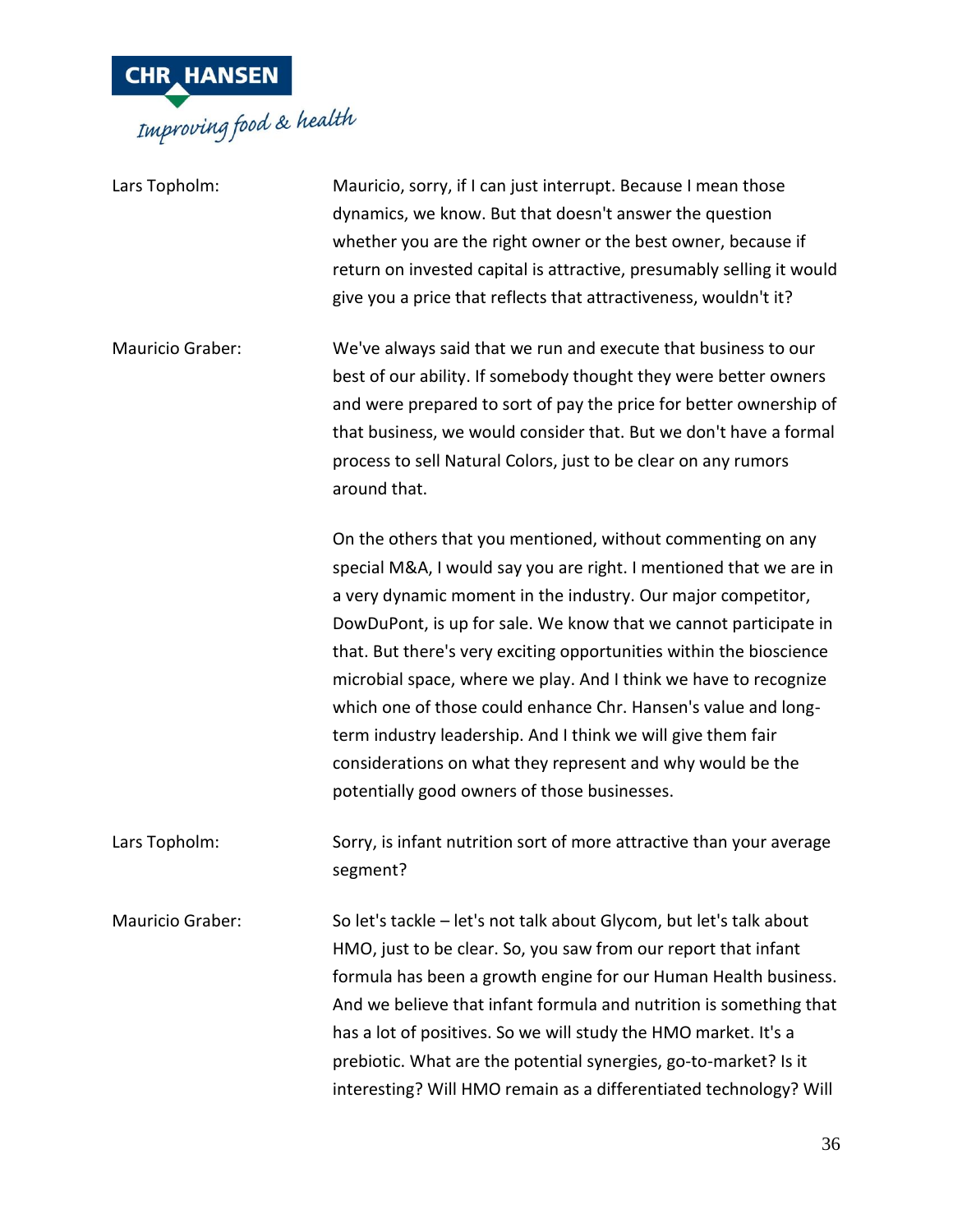

| Lars Topholm:           | Mauricio, sorry, if I can just interrupt. Because I mean those<br>dynamics, we know. But that doesn't answer the question<br>whether you are the right owner or the best owner, because if<br>return on invested capital is attractive, presumably selling it would<br>give you a price that reflects that attractiveness, wouldn't it?                                                                                                                                                                                                                                                                                                                          |
|-------------------------|------------------------------------------------------------------------------------------------------------------------------------------------------------------------------------------------------------------------------------------------------------------------------------------------------------------------------------------------------------------------------------------------------------------------------------------------------------------------------------------------------------------------------------------------------------------------------------------------------------------------------------------------------------------|
| <b>Mauricio Graber:</b> | We've always said that we run and execute that business to our<br>best of our ability. If somebody thought they were better owners<br>and were prepared to sort of pay the price for better ownership of<br>that business, we would consider that. But we don't have a formal<br>process to sell Natural Colors, just to be clear on any rumors<br>around that.                                                                                                                                                                                                                                                                                                  |
|                         | On the others that you mentioned, without commenting on any<br>special M&A, I would say you are right. I mentioned that we are in<br>a very dynamic moment in the industry. Our major competitor,<br>DowDuPont, is up for sale. We know that we cannot participate in<br>that. But there's very exciting opportunities within the bioscience<br>microbial space, where we play. And I think we have to recognize<br>which one of those could enhance Chr. Hansen's value and long-<br>term industry leadership. And I think we will give them fair<br>considerations on what they represent and why would be the<br>potentially good owners of those businesses. |
| Lars Topholm:           | Sorry, is infant nutrition sort of more attractive than your average<br>segment?                                                                                                                                                                                                                                                                                                                                                                                                                                                                                                                                                                                 |
| Mauricio Graber:        | So let's tackle - let's not talk about Glycom, but let's talk about<br>HMO, just to be clear. So, you saw from our report that infant<br>formula has been a growth engine for our Human Health business.<br>And we believe that infant formula and nutrition is something that<br>has a lot of positives. So we will study the HMO market. It's a<br>prebiotic. What are the potential synergies, go-to-market? Is it<br>interesting? Will HMO remain as a differentiated technology? Will                                                                                                                                                                       |